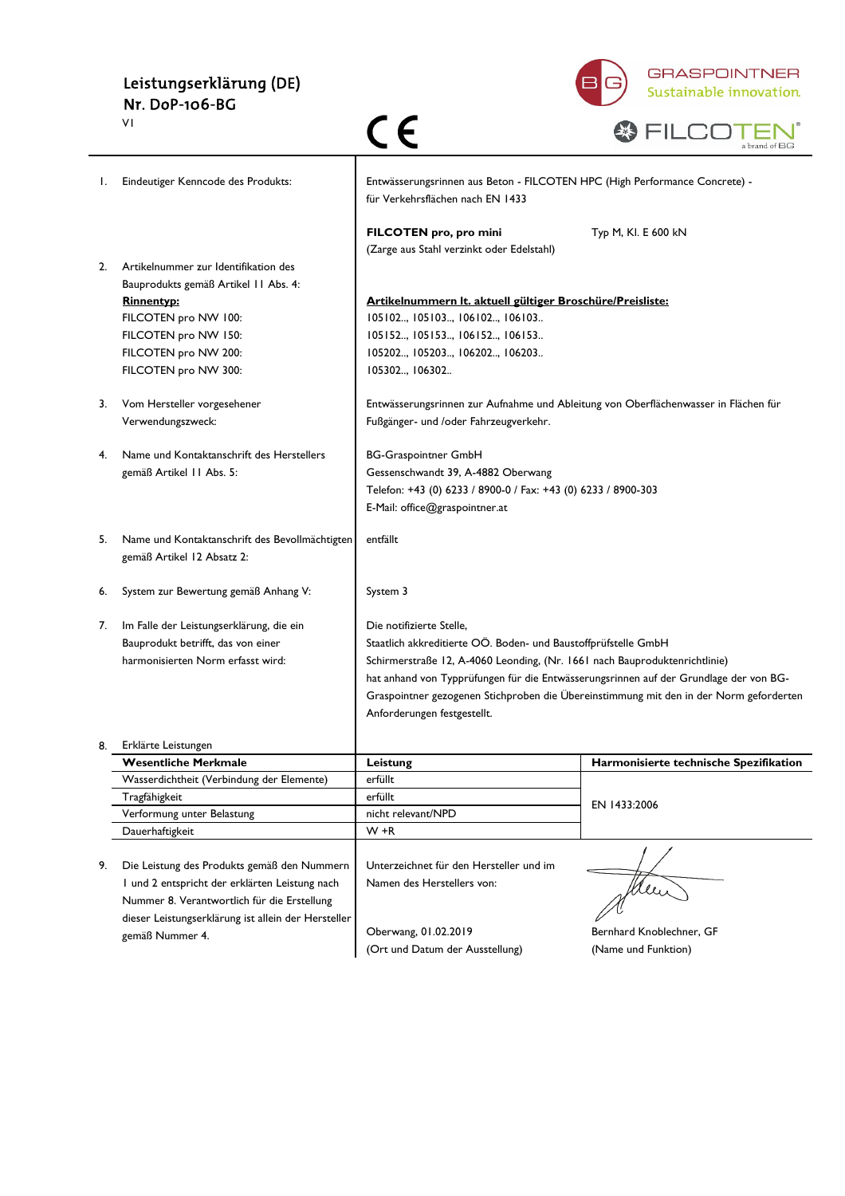# Leistungserklärung (DE) Nr. DoP-106-BG



|    | ٧I                                                                           | C E                                                                                                            | a brand of BG                                                                          |
|----|------------------------------------------------------------------------------|----------------------------------------------------------------------------------------------------------------|----------------------------------------------------------------------------------------|
| Ι. | Eindeutiger Kenncode des Produkts:                                           | Entwässerungsrinnen aus Beton - FILCOTEN HPC (High Performance Concrete) -<br>für Verkehrsflächen nach EN 1433 |                                                                                        |
|    |                                                                              | FILCOTEN pro, pro mini<br>(Zarge aus Stahl verzinkt oder Edelstahl)                                            | Typ M, KI. E 600 kN                                                                    |
| 2. | Artikelnummer zur Identifikation des<br>Bauprodukts gemäß Artikel II Abs. 4: |                                                                                                                |                                                                                        |
|    | <b>Rinnentyp:</b>                                                            | Artikelnummern It. aktuell gültiger Broschüre/Preisliste:                                                      |                                                                                        |
|    | FILCOTEN pro NW 100:                                                         | 105102, 105103, 106102, 106103                                                                                 |                                                                                        |
|    | FILCOTEN pro NW 150:                                                         | 105152, 105153, 106152, 106153                                                                                 |                                                                                        |
|    | FILCOTEN pro NW 200:                                                         | 105202, 105203, 106202, 106203                                                                                 |                                                                                        |
|    | FILCOTEN pro NW 300:                                                         | 105302, 106302                                                                                                 |                                                                                        |
| 3. | Vom Hersteller vorgesehener                                                  | Entwässerungsrinnen zur Aufnahme und Ableitung von Oberflächenwasser in Flächen für                            |                                                                                        |
|    | Verwendungszweck:                                                            | Fußgänger- und /oder Fahrzeugverkehr.                                                                          |                                                                                        |
| 4. | Name und Kontaktanschrift des Herstellers                                    | <b>BG-Graspointner GmbH</b>                                                                                    |                                                                                        |
|    | gemäß Artikel 11 Abs. 5:                                                     | Gessenschwandt 39, A-4882 Oberwang                                                                             |                                                                                        |
|    |                                                                              | Telefon: +43 (0) 6233 / 8900-0 / Fax: +43 (0) 6233 / 8900-303                                                  |                                                                                        |
|    |                                                                              | E-Mail: office@graspointner.at                                                                                 |                                                                                        |
| 5. | Name und Kontaktanschrift des Bevollmächtigten<br>gemäß Artikel 12 Absatz 2: | entfällt                                                                                                       |                                                                                        |
| 6. | System zur Bewertung gemäß Anhang V:                                         | System 3                                                                                                       |                                                                                        |
| 7. | Im Falle der Leistungserklärung, die ein                                     | Die notifizierte Stelle,                                                                                       |                                                                                        |
|    | Bauprodukt betrifft, das von einer                                           | Staatlich akkreditierte OÖ. Boden- und Baustoffprüfstelle GmbH                                                 |                                                                                        |
|    | harmonisierten Norm erfasst wird:                                            | Schirmerstraße 12, A-4060 Leonding, (Nr. 1661 nach Bauproduktenrichtlinie)                                     |                                                                                        |
|    |                                                                              |                                                                                                                | hat anhand von Typprüfungen für die Entwässerungsrinnen auf der Grundlage der von BG-  |
|    |                                                                              |                                                                                                                | Graspointner gezogenen Stichproben die Übereinstimmung mit den in der Norm geforderten |
|    |                                                                              | Anforderungen festgestellt.                                                                                    |                                                                                        |
|    | Erklärte Leistungen                                                          |                                                                                                                |                                                                                        |
|    | <b>Wesentliche Merkmale</b>                                                  | Leistung                                                                                                       | Harmonisierte technische Spezifikation                                                 |
|    | Wasserdichtheit (Verbindung der Elemente)                                    | erfüllt                                                                                                        |                                                                                        |
|    | Tragfähigkeit                                                                | erfüllt                                                                                                        | EN 1433:2006                                                                           |
|    | Verformung unter Belastung                                                   | nicht relevant/NPD                                                                                             |                                                                                        |
|    | Dauerhaftigkeit                                                              | W +R                                                                                                           |                                                                                        |
| 9. | Die Leistung des Produkts gemäß den Nummern                                  | Unterzeichnet für den Hersteller und im                                                                        |                                                                                        |
|    | I und 2 entspricht der erklärten Leistung nach                               | Namen des Herstellers von:                                                                                     | Men                                                                                    |
|    | Nummer 8. Verantwortlich für die Erstellung                                  |                                                                                                                |                                                                                        |
|    | dieser Leistungserklärung ist allein der Hersteller                          |                                                                                                                |                                                                                        |
|    | gemäß Nummer 4.                                                              | Oberwang, 01.02.2019                                                                                           | Bernhard Knoblechner, GF                                                               |
|    |                                                                              | (Ort und Datum der Ausstellung)                                                                                | (Name und Funktion)                                                                    |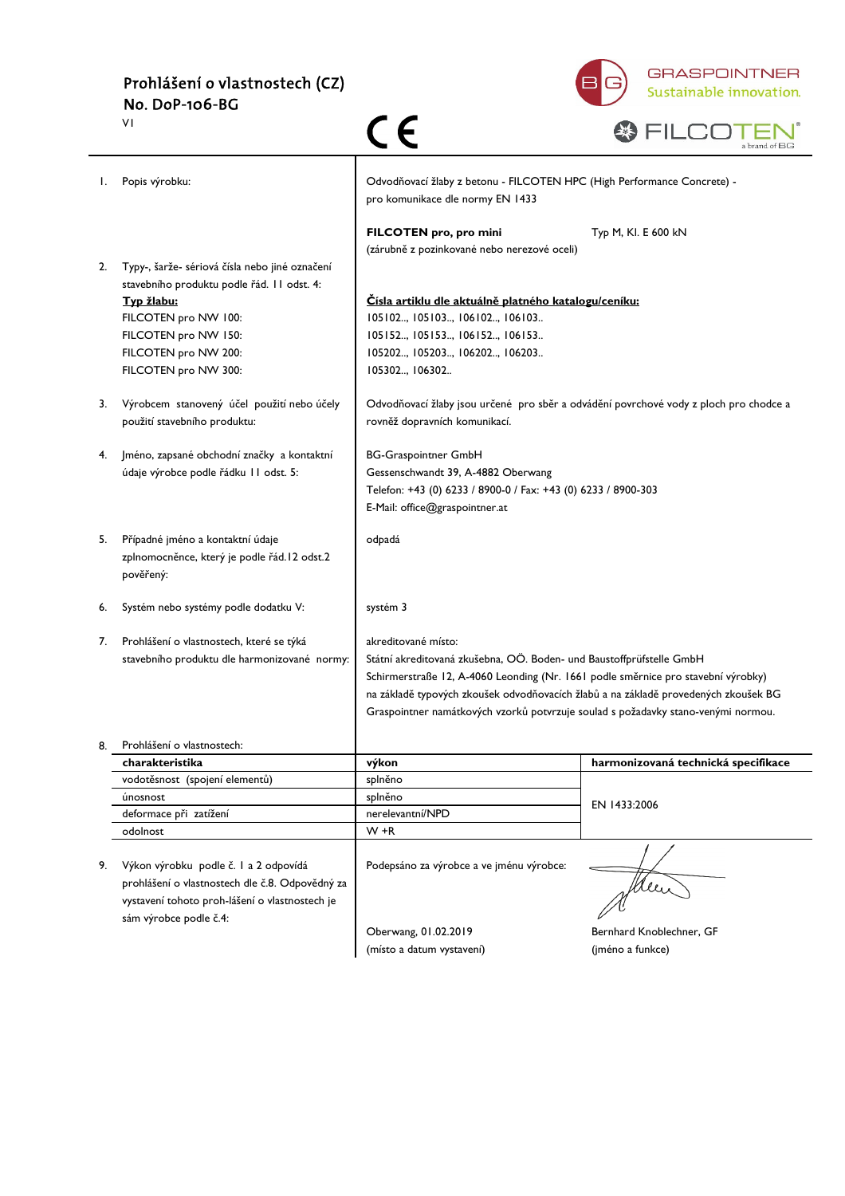

|    | ٧I                                                                                            | C E                                                                                                                    | a brand of $\operatorname{\mathsf{BG}}$ |
|----|-----------------------------------------------------------------------------------------------|------------------------------------------------------------------------------------------------------------------------|-----------------------------------------|
| Ι. | Popis výrobku:                                                                                | Odvodňovací žlaby z betonu - FILCOTEN HPC (High Performance Concrete) -<br>pro komunikace dle normy EN 1433            |                                         |
|    |                                                                                               | FILCOTEN pro, pro mini<br>(zárubně z pozinkované nebo nerezové oceli)                                                  | Typ M, KI. E 600 kN                     |
| 2. | Typy-, šarže- sériová čísla nebo jiné označení<br>stavebního produktu podle řád. I l odst. 4: |                                                                                                                        |                                         |
|    | Typ žlabu:                                                                                    | Císla artiklu dle aktuálně platného katalogu/ceníku:                                                                   |                                         |
|    | FILCOTEN pro NW 100:                                                                          | 105102, 105103, 106102, 106103                                                                                         |                                         |
|    | FILCOTEN pro NW 150:                                                                          | 105152, 105153, 106152, 106153                                                                                         |                                         |
|    | FILCOTEN pro NW 200:                                                                          | 105202, 105203, 106202, 106203                                                                                         |                                         |
|    | FILCOTEN pro NW 300:                                                                          | 105302, 106302                                                                                                         |                                         |
| 3. | Výrobcem stanovený účel použití nebo účely<br>použití stavebního produktu:                    | Odvodňovací žlaby jsou určené pro sběr a odvádění povrchové vody z ploch pro chodce a<br>rovněž dopravních komunikací. |                                         |
| 4. | Jméno, zapsané obchodní značky a kontaktní                                                    | <b>BG-Graspointner GmbH</b>                                                                                            |                                         |
|    | údaje výrobce podle řádku 11 odst. 5:                                                         | Gessenschwandt 39, A-4882 Oberwang                                                                                     |                                         |
|    |                                                                                               | Telefon: +43 (0) 6233 / 8900-0 / Fax: +43 (0) 6233 / 8900-303                                                          |                                         |
|    |                                                                                               | E-Mail: office@graspointner.at                                                                                         |                                         |
| 5. | Případné jméno a kontaktní údaje                                                              | odpadá                                                                                                                 |                                         |
|    | zplnomocněnce, který je podle řád. l 2 odst. 2<br>pověřený:                                   |                                                                                                                        |                                         |
| 6. | Systém nebo systémy podle dodatku V:                                                          | systém 3                                                                                                               |                                         |
| 7. | Prohlášení o vlastnostech, které se týká                                                      | akreditované místo:                                                                                                    |                                         |
|    | stavebního produktu dle harmonizované normy:                                                  | Státní akreditovaná zkušebna, OÖ. Boden- und Baustoffprüfstelle GmbH                                                   |                                         |
|    |                                                                                               | Schirmerstraße 12, A-4060 Leonding (Nr. 1661 podle směrnice pro stavební výrobky)                                      |                                         |
|    |                                                                                               | na základě typových zkoušek odvodňovacích žlabů a na základě provedených zkoušek BG                                    |                                         |
|    |                                                                                               | Graspointner namátkových vzorků potvrzuje soulad s požadavky stano-venými normou.                                      |                                         |
|    | Prohlášení o vlastnostech:                                                                    |                                                                                                                        |                                         |
|    | charakteristika                                                                               | výkon                                                                                                                  | harmonizovaná technická specifikace     |
|    | vodotěsnost (spojení elementů)                                                                | splněno                                                                                                                |                                         |
|    | únosnost                                                                                      | splněno                                                                                                                | EN 1433:2006                            |
|    | deformace při zatížení                                                                        | nerelevantní/NPD                                                                                                       |                                         |
|    | odolnost                                                                                      | $W + R$                                                                                                                |                                         |
| 9. | Výkon výrobku podle č. l a 2 odpovídá                                                         | Podepsáno za výrobce a ve jménu výrobce:                                                                               |                                         |
|    | prohlášení o vlastnostech dle č.8. Odpovědný za                                               |                                                                                                                        |                                         |
|    | vystavení tohoto proh-lášení o vlastnostech je                                                |                                                                                                                        | Men                                     |
|    | sám výrobce podle č.4:                                                                        |                                                                                                                        |                                         |
|    |                                                                                               | Oberwang, 01.02.2019                                                                                                   | Bernhard Knoblechner, GF                |
|    |                                                                                               | (místo a datum vystavení)                                                                                              | (jméno a funkce)                        |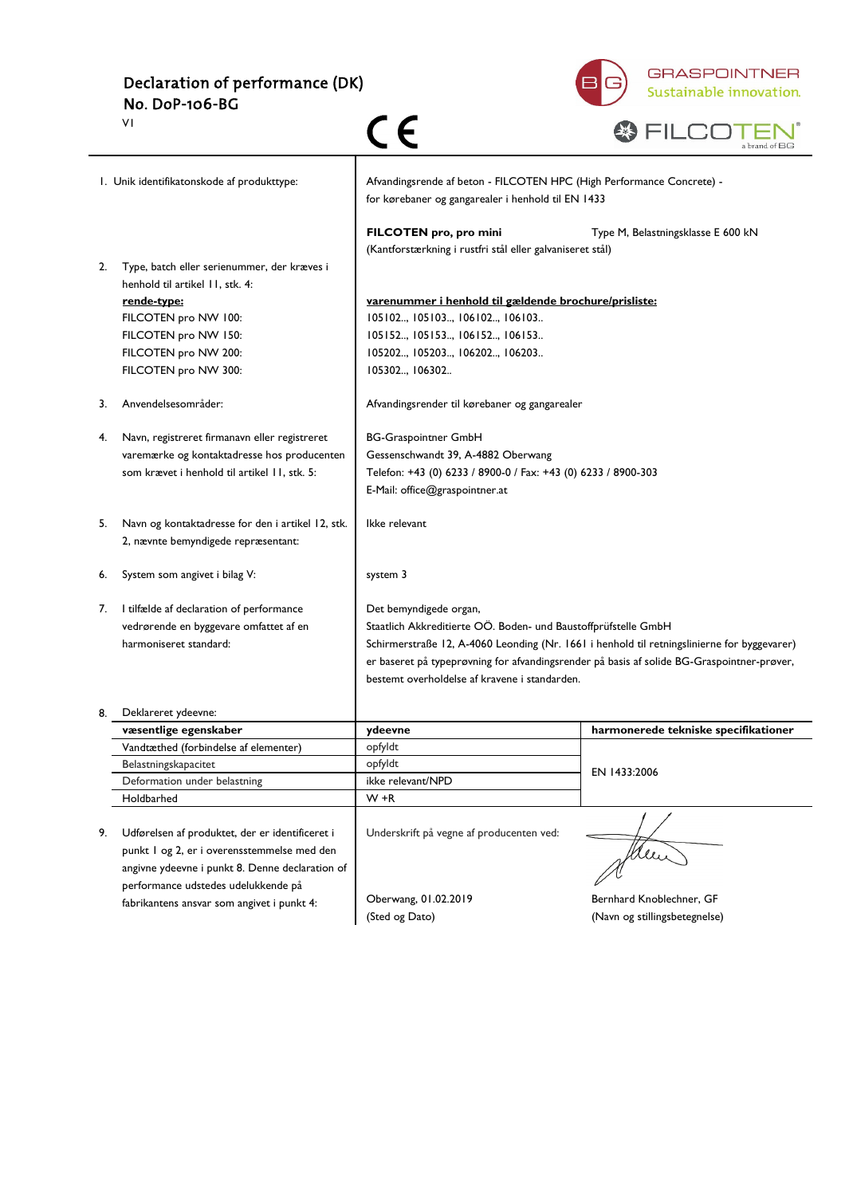Declaration of performance (DK) No. DoP-106-BG V1



|    | VΙ                                                                                | C E                                                                                                                         | a brand of BG                                                                               |
|----|-----------------------------------------------------------------------------------|-----------------------------------------------------------------------------------------------------------------------------|---------------------------------------------------------------------------------------------|
|    | I. Unik identifikatonskode af produkttype:                                        | Afvandingsrende af beton - FILCOTEN HPC (High Performance Concrete) -<br>for kørebaner og gangarealer i henhold til EN 1433 |                                                                                             |
|    |                                                                                   | FILCOTEN pro, pro mini<br>(Kantforstærkning i rustfri stål eller galvaniseret stål)                                         | Type M, Belastningsklasse E 600 kN                                                          |
| 2. | Type, batch eller serienummer, der kræves i                                       |                                                                                                                             |                                                                                             |
|    | henhold til artikel 11, stk. 4:                                                   |                                                                                                                             |                                                                                             |
|    | rende-type:                                                                       | varenummer i henhold til gældende brochure/prisliste:                                                                       |                                                                                             |
|    | FILCOTEN pro NW 100:                                                              | 105102, 105103, 106102, 106103                                                                                              |                                                                                             |
|    | FILCOTEN pro NW 150:                                                              | 105152, 105153, 106152, 106153                                                                                              |                                                                                             |
|    | FILCOTEN pro NW 200:                                                              | 105202, 105203, 106202, 106203                                                                                              |                                                                                             |
|    | FILCOTEN pro NW 300:                                                              | 105302, 106302                                                                                                              |                                                                                             |
| 3. | Anvendelsesområder:                                                               | Afvandingsrender til kørebaner og gangarealer                                                                               |                                                                                             |
| 4. | Navn, registreret firmanavn eller registreret                                     | <b>BG-Graspointner GmbH</b>                                                                                                 |                                                                                             |
|    | varemærke og kontaktadresse hos producenten                                       | Gessenschwandt 39, A-4882 Oberwang                                                                                          |                                                                                             |
|    | som krævet i henhold til artikel 11, stk. 5:                                      | Telefon: +43 (0) 6233 / 8900-0 / Fax: +43 (0) 6233 / 8900-303                                                               |                                                                                             |
|    |                                                                                   | E-Mail: office@graspointner.at                                                                                              |                                                                                             |
| 5. | Navn og kontaktadresse for den i artikel 12, stk.                                 | Ikke relevant                                                                                                               |                                                                                             |
|    | 2, nævnte bemyndigede repræsentant:                                               |                                                                                                                             |                                                                                             |
| 6. | System som angivet i bilag V:                                                     | system 3                                                                                                                    |                                                                                             |
| 7. | I tilfælde af declaration of performance                                          | Det bemyndigede organ,                                                                                                      |                                                                                             |
|    | vedrørende en byggevare omfattet af en                                            | Staatlich Akkreditierte OÖ. Boden- und Baustoffprüfstelle GmbH                                                              |                                                                                             |
|    | harmoniseret standard:                                                            |                                                                                                                             | Schirmerstraße 12, A-4060 Leonding (Nr. 1661 i henhold til retningslinierne for byggevarer) |
|    |                                                                                   |                                                                                                                             | er baseret på typeprøvning for afvandingsrender på basis af solide BG-Graspointner-prøver,  |
|    |                                                                                   | bestemt overholdelse af kravene i standarden.                                                                               |                                                                                             |
|    | Deklareret ydeevne:                                                               |                                                                                                                             |                                                                                             |
|    | væsentlige egenskaber                                                             | ydeevne                                                                                                                     | harmonerede tekniske specifikationer                                                        |
|    | Vandtæthed (forbindelse af elementer)                                             | opfyldt                                                                                                                     |                                                                                             |
|    | Belastningskapacitet                                                              | opfyldt                                                                                                                     |                                                                                             |
|    |                                                                                   |                                                                                                                             | EN 1433:2006                                                                                |
|    | Deformation under belastning                                                      | ikke relevant/NPD                                                                                                           |                                                                                             |
|    | Holdbarhed                                                                        | $W + R$                                                                                                                     |                                                                                             |
|    |                                                                                   |                                                                                                                             |                                                                                             |
| 9. | Udførelsen af produktet, der er identificeret i                                   | Underskrift på vegne af producenten ved:                                                                                    |                                                                                             |
|    | punkt I og 2, er i overensstemmelse med den                                       |                                                                                                                             | Mui                                                                                         |
|    | angivne ydeevne i punkt 8. Denne declaration of                                   |                                                                                                                             |                                                                                             |
|    | performance udstedes udelukkende på<br>fabrikantens ansvar som angivet i punkt 4: | Oberwang, 01.02.2019                                                                                                        | Bernhard Knoblechner, GF                                                                    |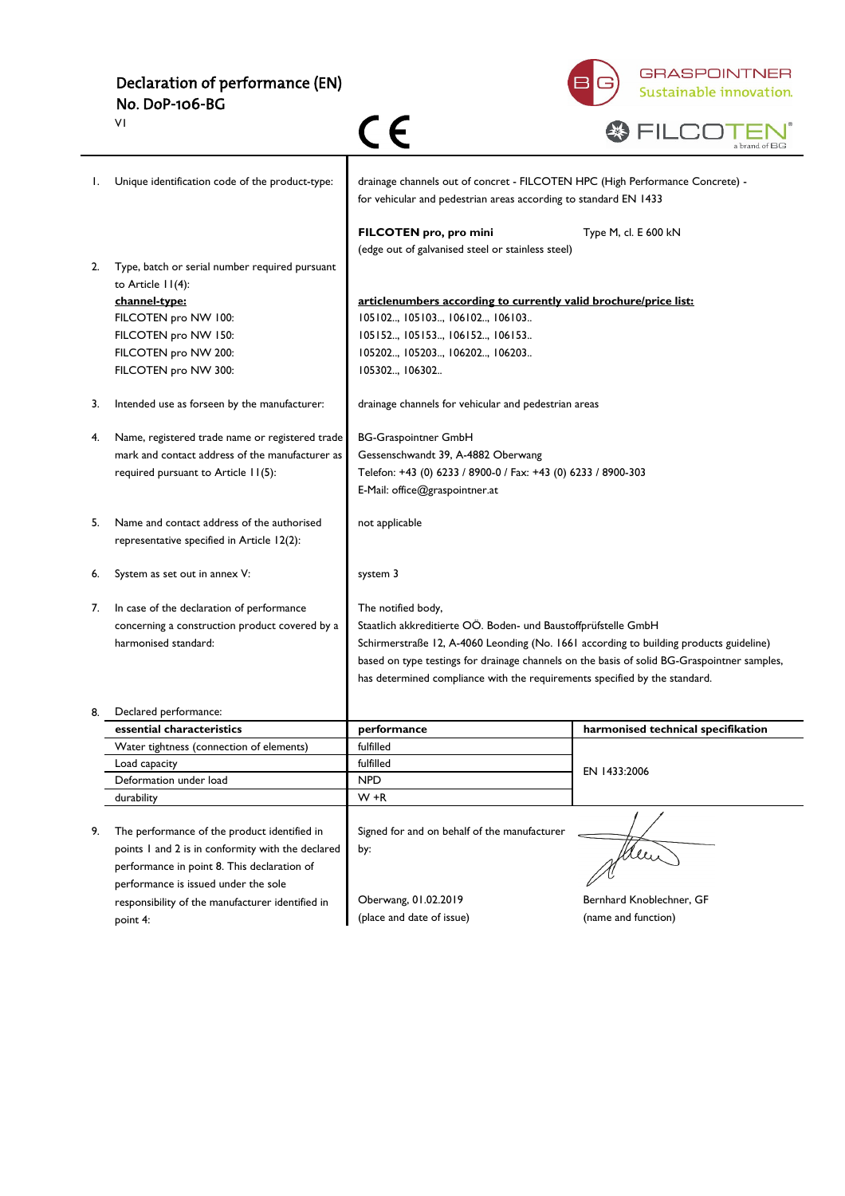Declaration of performance (EN) No. DoP-106-BG



|    | VI                                                                                       |                                                                                                                                                   | a brand of BC                      |
|----|------------------------------------------------------------------------------------------|---------------------------------------------------------------------------------------------------------------------------------------------------|------------------------------------|
| I. | Unique identification code of the product-type:                                          | drainage channels out of concret - FILCOTEN HPC (High Performance Concrete) -<br>for vehicular and pedestrian areas according to standard EN 1433 |                                    |
|    |                                                                                          | FILCOTEN pro, pro mini<br>(edge out of galvanised steel or stainless steel)                                                                       | Type M, cl. E 600 kN               |
| 2. | Type, batch or serial number required pursuant<br>to Article 11(4):                      |                                                                                                                                                   |                                    |
|    | channel-type:                                                                            | articlenumbers according to currently valid brochure/price list:                                                                                  |                                    |
|    | FILCOTEN pro NW 100:                                                                     | 105102, 105103, 106102, 106103                                                                                                                    |                                    |
|    | FILCOTEN pro NW 150:                                                                     | 105152, 105153, 106152, 106153                                                                                                                    |                                    |
|    | FILCOTEN pro NW 200:                                                                     | 105202, 105203, 106202, 106203                                                                                                                    |                                    |
|    | FILCOTEN pro NW 300:                                                                     | 105302, 106302                                                                                                                                    |                                    |
| 3. | Intended use as forseen by the manufacturer:                                             | drainage channels for vehicular and pedestrian areas                                                                                              |                                    |
| 4. | Name, registered trade name or registered trade                                          | <b>BG-Graspointner GmbH</b>                                                                                                                       |                                    |
|    | mark and contact address of the manufacturer as                                          | Gessenschwandt 39, A-4882 Oberwang                                                                                                                |                                    |
|    | required pursuant to Article 11(5):                                                      | Telefon: +43 (0) 6233 / 8900-0 / Fax: +43 (0) 6233 / 8900-303                                                                                     |                                    |
|    |                                                                                          | E-Mail: office@graspointner.at                                                                                                                    |                                    |
| 5. | Name and contact address of the authorised<br>representative specified in Article 12(2): | not applicable                                                                                                                                    |                                    |
| 6. | System as set out in annex V:                                                            | system 3                                                                                                                                          |                                    |
| 7. | In case of the declaration of performance                                                | The notified body,                                                                                                                                |                                    |
|    | concerning a construction product covered by a                                           | Staatlich akkreditierte OÖ. Boden- und Baustoffprüfstelle GmbH                                                                                    |                                    |
|    | harmonised standard:                                                                     | Schirmerstraße 12, A-4060 Leonding (No. 1661 according to building products guideline)                                                            |                                    |
|    |                                                                                          | based on type testings for drainage channels on the basis of solid BG-Graspointner samples,                                                       |                                    |
|    |                                                                                          | has determined compliance with the requirements specified by the standard.                                                                        |                                    |
| 8. | Declared performance:                                                                    |                                                                                                                                                   |                                    |
|    | essential characteristics                                                                | performance                                                                                                                                       | harmonised technical specifikation |
|    | Water tightness (connection of elements)                                                 | fulfilled                                                                                                                                         |                                    |
|    | Load capacity                                                                            | fulfilled                                                                                                                                         | EN 1433:2006                       |
|    | Deformation under load                                                                   | <b>NPD</b>                                                                                                                                        |                                    |
|    | durability                                                                               | $W + R$                                                                                                                                           |                                    |
|    |                                                                                          |                                                                                                                                                   |                                    |
| 9. | The performance of the product identified in                                             | Signed for and on behalf of the manufacturer                                                                                                      |                                    |
|    | points I and 2 is in conformity with the declared                                        | by:                                                                                                                                               | Men                                |
|    | performance in point 8. This declaration of                                              |                                                                                                                                                   |                                    |
|    | performance is issued under the sole                                                     | Oberwang, 01.02.2019                                                                                                                              | Bernhard Knoblechner, GF           |
|    | responsibility of the manufacturer identified in                                         | (place and date of issue)                                                                                                                         | (name and function)                |
|    | point 4:                                                                                 |                                                                                                                                                   |                                    |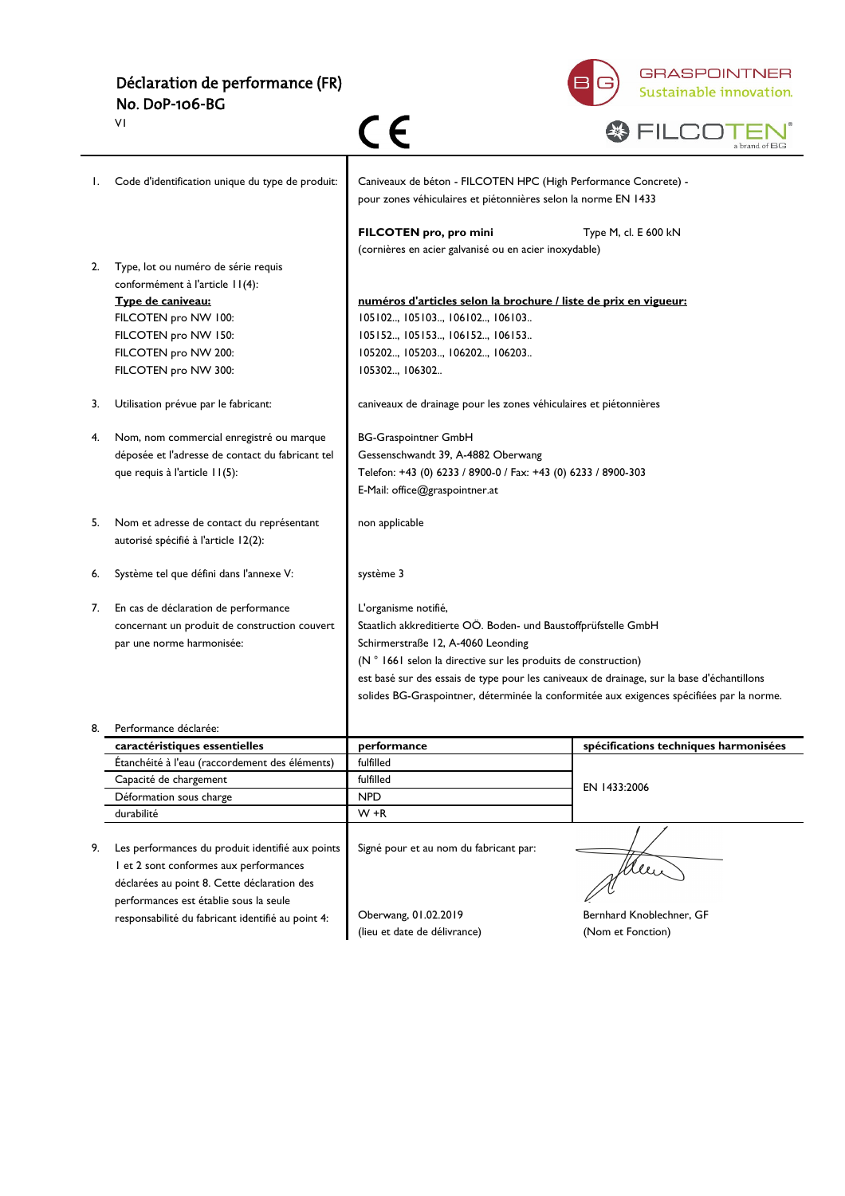# Déclaration de performance (FR) No. DoP-106-BG



|    | ٧I                                                                                                                                                                                          | C E                                                                                                                                                                                                                                                                                          | a brand of BG                                                                             |
|----|---------------------------------------------------------------------------------------------------------------------------------------------------------------------------------------------|----------------------------------------------------------------------------------------------------------------------------------------------------------------------------------------------------------------------------------------------------------------------------------------------|-------------------------------------------------------------------------------------------|
| I. | Code d'identification unique du type de produit:                                                                                                                                            | Caniveaux de béton - FILCOTEN HPC (High Performance Concrete) -<br>pour zones véhiculaires et piétonnières selon la norme EN 1433                                                                                                                                                            |                                                                                           |
|    |                                                                                                                                                                                             | FILCOTEN pro, pro mini<br>(cornières en acier galvanisé ou en acier inoxydable)                                                                                                                                                                                                              | Type M, cl. E 600 kN                                                                      |
| 2. | Type, lot ou numéro de série requis<br>conformément à l'article 11(4):<br>Type de caniveau:<br>FILCOTEN pro NW 100:<br>FILCOTEN pro NW 150:<br>FILCOTEN pro NW 200:<br>FILCOTEN pro NW 300: | numéros d'articles selon la brochure / liste de prix en vigueur:<br>105102, 105103, 106102, 106103<br>105152, 105153, 106152, 106153<br>105202, 105203, 106202, 106203<br>105302, 106302                                                                                                     |                                                                                           |
| 3. | Utilisation prévue par le fabricant:                                                                                                                                                        | caniveaux de drainage pour les zones véhiculaires et piétonnières                                                                                                                                                                                                                            |                                                                                           |
| 4. | Nom, nom commercial enregistré ou marque<br>déposée et l'adresse de contact du fabricant tel<br>que requis à l'article II(5):                                                               | <b>BG-Graspointner GmbH</b><br>Gessenschwandt 39, A-4882 Oberwang<br>Telefon: +43 (0) 6233 / 8900-0 / Fax: +43 (0) 6233 / 8900-303<br>E-Mail: office@graspointner.at                                                                                                                         |                                                                                           |
| 5. | Nom et adresse de contact du représentant<br>autorisé spécifié à l'article 12(2):                                                                                                           | non applicable                                                                                                                                                                                                                                                                               |                                                                                           |
| 6. | Système tel que défini dans l'annexe V:                                                                                                                                                     | système 3                                                                                                                                                                                                                                                                                    |                                                                                           |
| 7. | En cas de déclaration de performance<br>concernant un produit de construction couvert<br>par une norme harmonisée:                                                                          | L'organisme notifié,<br>Staatlich akkreditierte OÖ. Boden- und Baustoffprüfstelle GmbH<br>Schirmerstraße 12, A-4060 Leonding<br>(N ° 1661 selon la directive sur les produits de construction)<br>est basé sur des essais de type pour les caniveaux de drainage, sur la base d'échantillons | solides BG-Graspointner, déterminée la conformitée aux exigences spécifiées par la norme. |
| 8. | Performance déclarée:                                                                                                                                                                       |                                                                                                                                                                                                                                                                                              |                                                                                           |
|    | caractéristiques essentielles                                                                                                                                                               | performance                                                                                                                                                                                                                                                                                  | spécifications techniques harmonisées                                                     |
|    | Etanchéité à l'eau (raccordement des éléments)                                                                                                                                              | fulfilled                                                                                                                                                                                                                                                                                    |                                                                                           |
|    | Capacité de chargement                                                                                                                                                                      | fulfilled<br><b>NPD</b>                                                                                                                                                                                                                                                                      | EN 1433:2006                                                                              |
|    | Déformation sous charge<br>durabilité                                                                                                                                                       | $W + R$                                                                                                                                                                                                                                                                                      |                                                                                           |
| 9. | Les performances du produit identifié aux points<br>I et 2 sont conformes aux performances<br>déclarées au point 8. Cette déclaration des<br>performances est établie sous la seule         | Signé pour et au nom du fabricant par:                                                                                                                                                                                                                                                       |                                                                                           |
|    | responsabilité du fabricant identifié au point 4:                                                                                                                                           | Oberwang, 01.02.2019<br>(lieu et date de délivrance)                                                                                                                                                                                                                                         | Bernhard Knoblechner, GF<br>(Nom et Fonction)                                             |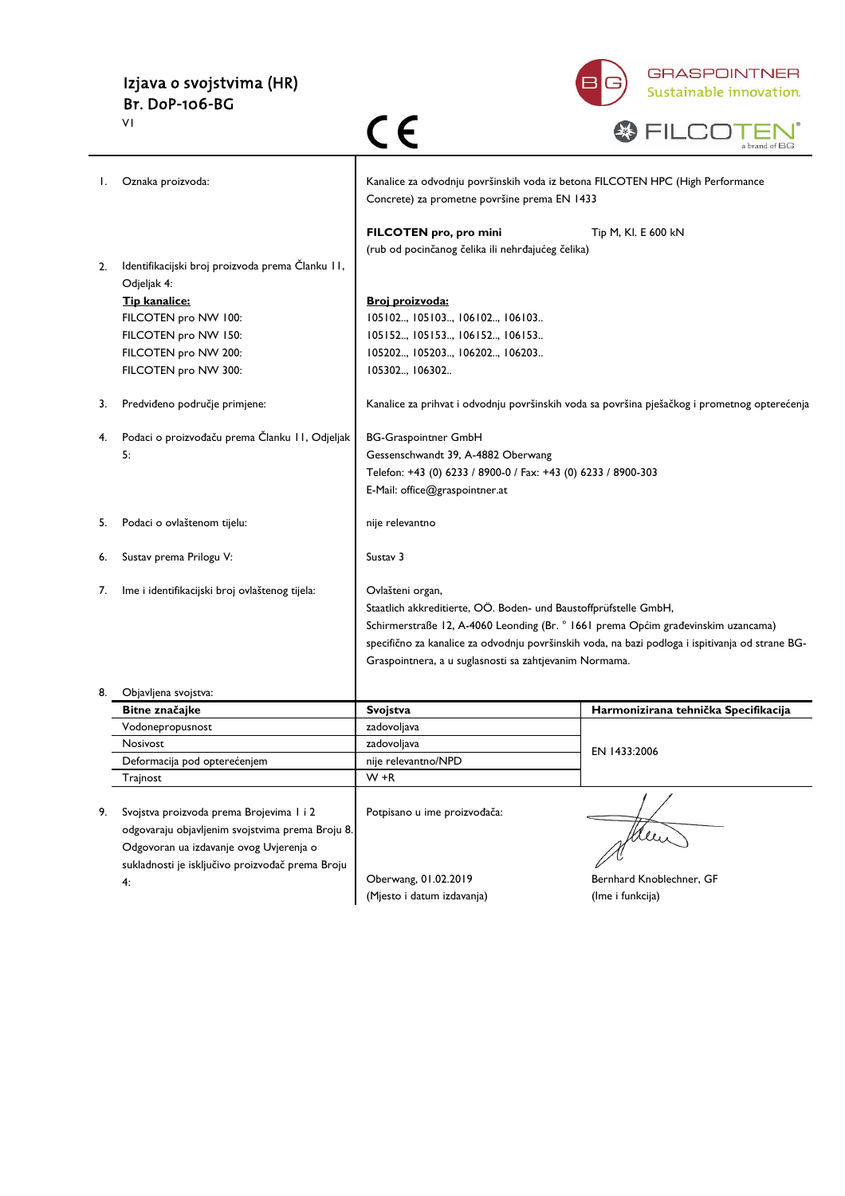# Izjava o svojstvima (HR) Br. DoP-106-BG

 $\overline{v}$ 



|    | VI                                               |                                                                                                                                |                                                                                                  |
|----|--------------------------------------------------|--------------------------------------------------------------------------------------------------------------------------------|--------------------------------------------------------------------------------------------------|
| Ι. | Oznaka proizvoda:                                | Kanalice za odvodnju površinskih voda iz betona FILCOTEN HPC (High Performance<br>Concrete) za prometne površine prema EN 1433 |                                                                                                  |
|    |                                                  | FILCOTEN pro, pro mini                                                                                                         | Tip M, Kl. E 600 kN                                                                              |
|    |                                                  | (rub od pocinčanog čelika ili nehrđajućeg čelika)                                                                              |                                                                                                  |
|    | Identifikacijski broj proizvoda prema Članku II, |                                                                                                                                |                                                                                                  |
|    | Odjeljak 4:                                      |                                                                                                                                |                                                                                                  |
|    | Tip kanalice:                                    | Broj proizvoda:                                                                                                                |                                                                                                  |
|    | FILCOTEN pro NW 100:                             | 105102, 105103, 106102, 106103                                                                                                 |                                                                                                  |
|    | FILCOTEN pro NW 150:                             | 105152, 105153, 106152, 106153                                                                                                 |                                                                                                  |
|    | FILCOTEN pro NW 200:                             | 105202, 105203, 106202, 106203                                                                                                 |                                                                                                  |
|    | FILCOTEN pro NW 300:                             | 105302, 106302                                                                                                                 |                                                                                                  |
| 3. | Predviđeno područje primjene:                    |                                                                                                                                | Kanalice za prihvat i odvodnju površinskih voda sa površina pješačkog i prometnog opterećenja    |
| 4. | Podaci o proizvođaču prema Članku II, Odjeljak   | <b>BG-Graspointner GmbH</b>                                                                                                    |                                                                                                  |
|    | 5:                                               | Gessenschwandt 39, A-4882 Oberwang                                                                                             |                                                                                                  |
|    |                                                  | Telefon: +43 (0) 6233 / 8900-0 / Fax: +43 (0) 6233 / 8900-303                                                                  |                                                                                                  |
|    |                                                  | E-Mail: office@graspointner.at                                                                                                 |                                                                                                  |
|    |                                                  |                                                                                                                                |                                                                                                  |
| 5. | Podaci o ovlaštenom tijelu:                      | nije relevantno                                                                                                                |                                                                                                  |
| 6. | Sustav prema Prilogu V:                          | Sustav 3                                                                                                                       |                                                                                                  |
| 7. | lme i identifikacijski broj ovlaštenog tijela:   | Ovlašteni organ,                                                                                                               |                                                                                                  |
|    |                                                  | Staatlich akkreditierte, OÖ. Boden- und Baustoffprüfstelle GmbH,                                                               |                                                                                                  |
|    |                                                  | Schirmerstraße 12, A-4060 Leonding (Br. ° 1661 prema Općim građevinskim uzancama)                                              |                                                                                                  |
|    |                                                  |                                                                                                                                | specifično za kanalice za odvodnju površinskih voda, na bazi podloga i ispitivanja od strane BG- |
|    |                                                  | Graspointnera, a u suglasnosti sa zahtjevanim Normama.                                                                         |                                                                                                  |
|    |                                                  |                                                                                                                                |                                                                                                  |
|    | Objavljena svojstva:                             |                                                                                                                                |                                                                                                  |
|    | Bitne značajke                                   | Svojstva                                                                                                                       | Harmonizirana tehnička Specifikacija                                                             |
|    | Vodonepropusnost                                 | zadovoljava                                                                                                                    |                                                                                                  |
|    | Nosivost                                         | zadovoljava                                                                                                                    | EN 1433:2006                                                                                     |
|    | Deformacija pod opterećenjem                     | nije relevantno/NPD                                                                                                            |                                                                                                  |
|    | Trajnost                                         | W +R                                                                                                                           |                                                                                                  |
|    |                                                  |                                                                                                                                |                                                                                                  |
| 9. | Svojstva proizvoda prema Brojevima I i 2         | Potpisano u ime proizvođača:                                                                                                   |                                                                                                  |
|    | odgovaraju objavljenim svojstvima prema Broju 8. |                                                                                                                                |                                                                                                  |
|    | Odgovoran ua izdavanje ovog Uvjerenja o          |                                                                                                                                |                                                                                                  |
|    | sukladnosti je isključivo proizvođač prema Broju | Oberwang, 01.02.2019                                                                                                           | Bernhard Knoblechner, GF                                                                         |
|    | 4:                                               | (Mjesto i datum izdavanja)                                                                                                     | (Ime i funkcija)                                                                                 |
|    |                                                  |                                                                                                                                |                                                                                                  |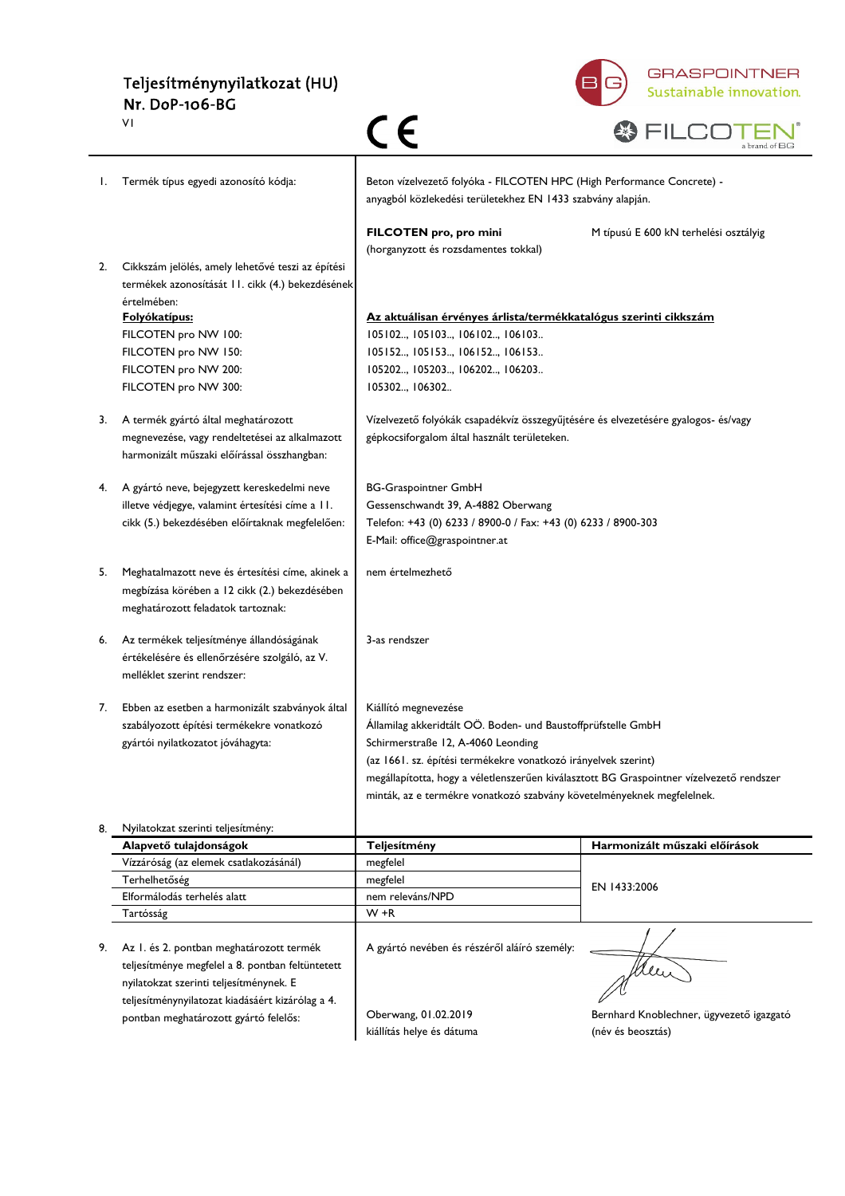### Teljesítménynyilatkozat (HU) Nr. DoP-106-BG V1



|    | VI                                                                                            | CE                                                                                                                                                                 | a brand of $\rm BG$                      |
|----|-----------------------------------------------------------------------------------------------|--------------------------------------------------------------------------------------------------------------------------------------------------------------------|------------------------------------------|
| Ι. | Termék típus egyedi azonosító kódja:                                                          | Beton vízelvezető folyóka - FILCOTEN HPC (High Performance Concrete) -<br>anyagból közlekedési területekhez EN 1433 szabvány alapján.                              |                                          |
| 2. | Cikkszám jelölés, amely lehetővé teszi az építési                                             | FILCOTEN pro, pro mini<br>(horganyzott és rozsdamentes tokkal)                                                                                                     | M típusú E 600 kN terhelési osztályig    |
|    | termékek azonosítását 11. cikk (4.) bekezdésének<br>értelmében:                               |                                                                                                                                                                    |                                          |
|    | <b>Folyókatípus:</b>                                                                          | Az aktuálisan érvényes árlista/termékkatalógus szerinti cikkszám                                                                                                   |                                          |
|    | FILCOTEN pro NW 100:<br>FILCOTEN pro NW 150:                                                  | 105102, 105103, 106102, 106103<br>105152, 105153, 106152, 106153                                                                                                   |                                          |
|    | FILCOTEN pro NW 200:                                                                          | 105202, 105203, 106202, 106203                                                                                                                                     |                                          |
|    | FILCOTEN pro NW 300:                                                                          | 105302, 106302                                                                                                                                                     |                                          |
| 3. | A termék gyártó által meghatározott                                                           | Vízelvezető folyókák csapadékvíz összegyűjtésére és elvezetésére gyalogos- és/vagy                                                                                 |                                          |
|    | megnevezése, vagy rendeltetései az alkalmazott<br>harmonizált műszaki előírással összhangban: | gépkocsiforgalom által használt területeken.                                                                                                                       |                                          |
| 4. | A gyártó neve, bejegyzett kereskedelmi neve                                                   | <b>BG-Graspointner GmbH</b>                                                                                                                                        |                                          |
|    | illetve védjegye, valamint értesítési címe a 11.                                              | Gessenschwandt 39, A-4882 Oberwang                                                                                                                                 |                                          |
|    | cikk (5.) bekezdésében előírtaknak megfelelően:                                               | Telefon: +43 (0) 6233 / 8900-0 / Fax: +43 (0) 6233 / 8900-303                                                                                                      |                                          |
|    |                                                                                               | E-Mail: office@graspointner.at                                                                                                                                     |                                          |
| 5. | Meghatalmazott neve és értesítési címe, akinek a                                              | nem értelmezhető                                                                                                                                                   |                                          |
|    | megbízása körében a 12 cikk (2.) bekezdésében                                                 |                                                                                                                                                                    |                                          |
|    | meghatározott feladatok tartoznak:                                                            |                                                                                                                                                                    |                                          |
| 6. | Az termékek teljesítménye állandóságának                                                      | 3-as rendszer                                                                                                                                                      |                                          |
|    | értékelésére és ellenőrzésére szolgáló, az V.                                                 |                                                                                                                                                                    |                                          |
|    | melléklet szerint rendszer:                                                                   |                                                                                                                                                                    |                                          |
| 7. | Ebben az esetben a harmonizált szabványok által                                               | Kiállító megnevezése                                                                                                                                               |                                          |
|    | szabályozott építési termékekre vonatkozó                                                     | Államilag akkeridtált OÖ. Boden- und Baustoffprüfstelle GmbH                                                                                                       |                                          |
|    | gyártói nyilatkozatot jóváhagyta:                                                             | Schirmerstraße 12, A-4060 Leonding                                                                                                                                 |                                          |
|    |                                                                                               | (az 1661. sz. építési termékekre vonatkozó irányelvek szerint)                                                                                                     |                                          |
|    |                                                                                               | megállapította, hogy a véletlenszerűen kiválasztott BG Graspointner vízelvezető rendszer<br>minták, az e termékre vonatkozó szabvány követelményeknek megfelelnek. |                                          |
| 8. | Nyilatokzat szerinti teljesítmény:                                                            |                                                                                                                                                                    |                                          |
|    | Alapvető tulajdonságok                                                                        | Teljesítmény                                                                                                                                                       | Harmonizált műszaki előírások            |
|    | Vízzáróság (az elemek csatlakozásánál)                                                        | megfelel                                                                                                                                                           |                                          |
|    | Terhelhetőség                                                                                 | megfelel                                                                                                                                                           | EN 1433:2006                             |
|    | Elformálodás terhelés alatt<br>Tartósság                                                      | nem releváns/NPD<br>W +R                                                                                                                                           |                                          |
|    |                                                                                               |                                                                                                                                                                    |                                          |
| 9. | Az I. és 2. pontban meghatározott termék                                                      | A gyártó nevében és részéről aláíró személy:                                                                                                                       |                                          |
|    | teljesítménye megfelel a 8. pontban feltüntetett                                              |                                                                                                                                                                    | Men                                      |
|    | nyilatokzat szerinti teljesítménynek. E                                                       |                                                                                                                                                                    |                                          |
|    | teljesítménynyilatozat kiadásáért kizárólag a 4.<br>pontban meghatározott gyártó felelős:     | Oberwang, 01.02.2019                                                                                                                                               | Bernhard Knoblechner, ügyvezető igazgató |
|    |                                                                                               | kiállítás helye és dátuma                                                                                                                                          | (név és beosztás)                        |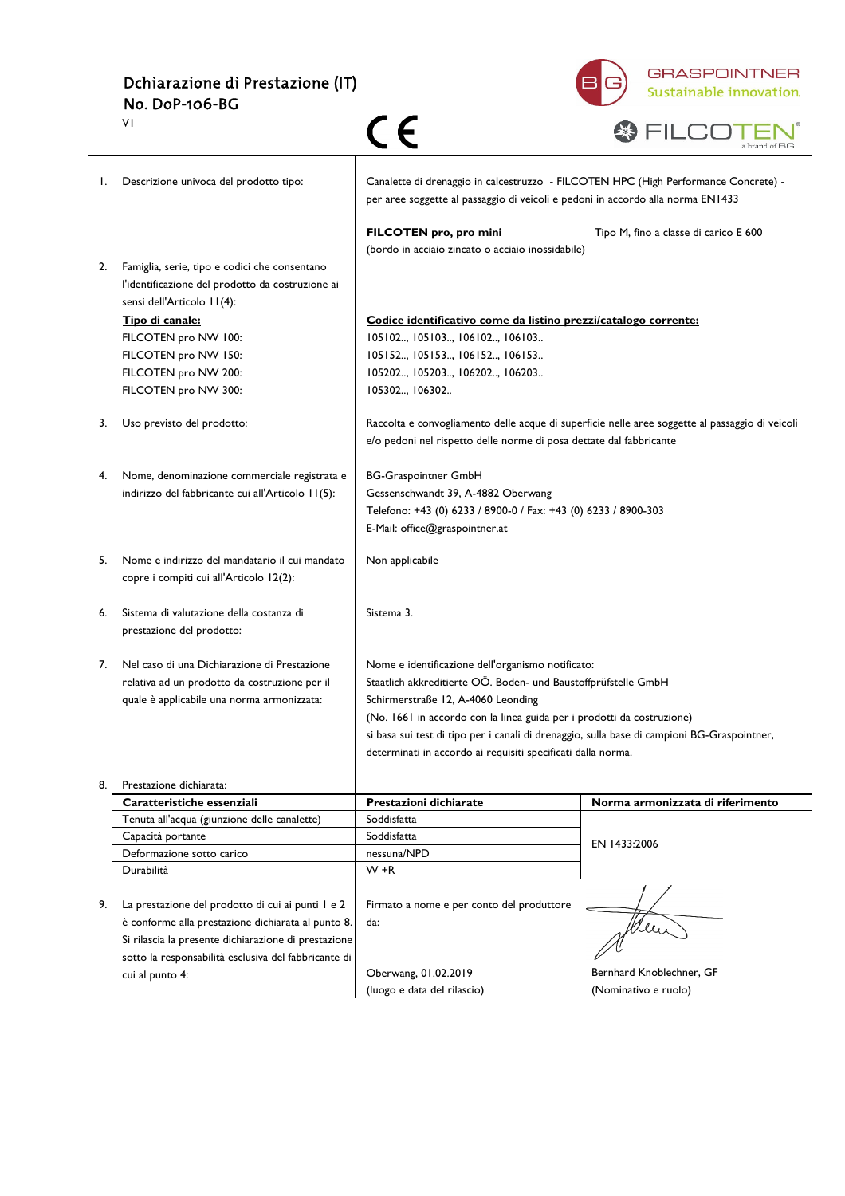Dchiarazione di Prestazione (IT) No. DoP-106-BG V1



|    | ٧I                                                                                        | CE                                                                                                                                                                     | a brand of BG                                                                                   |
|----|-------------------------------------------------------------------------------------------|------------------------------------------------------------------------------------------------------------------------------------------------------------------------|-------------------------------------------------------------------------------------------------|
| Ι. | Descrizione univoca del prodotto tipo:                                                    | Canalette di drenaggio in calcestruzzo - FILCOTEN HPC (High Performance Concrete) -<br>per aree soggette al passaggio di veicoli e pedoni in accordo alla norma EN1433 |                                                                                                 |
| 2. | Famiglia, serie, tipo e codici che consentano                                             | FILCOTEN pro, pro mini<br>(bordo in acciaio zincato o acciaio inossidabile)                                                                                            | Tipo M, fino a classe di carico E 600                                                           |
|    | l'identificazione del prodotto da costruzione ai<br>sensi dell'Articolo 11(4):            |                                                                                                                                                                        |                                                                                                 |
|    | Tipo di canale:                                                                           | Codice identificativo come da listino prezzi/catalogo corrente:                                                                                                        |                                                                                                 |
|    | FILCOTEN pro NW 100:                                                                      | 105102, 105103, 106102, 106103                                                                                                                                         |                                                                                                 |
|    | FILCOTEN pro NW 150:                                                                      | 105152, 105153, 106152, 106153                                                                                                                                         |                                                                                                 |
|    | FILCOTEN pro NW 200:                                                                      | 105202, 105203, 106202, 106203                                                                                                                                         |                                                                                                 |
|    | FILCOTEN pro NW 300:                                                                      | 105302, 106302                                                                                                                                                         |                                                                                                 |
| 3. | Uso previsto del prodotto:                                                                |                                                                                                                                                                        | Raccolta e convogliamento delle acque di superficie nelle aree soggette al passaggio di veicoli |
|    |                                                                                           | e/o pedoni nel rispetto delle norme di posa dettate dal fabbricante                                                                                                    |                                                                                                 |
| 4. | Nome, denominazione commerciale registrata e                                              | <b>BG-Graspointner GmbH</b>                                                                                                                                            |                                                                                                 |
|    | indirizzo del fabbricante cui all'Articolo 11(5):                                         | Gessenschwandt 39, A-4882 Oberwang                                                                                                                                     |                                                                                                 |
|    |                                                                                           | Telefono: +43 (0) 6233 / 8900-0 / Fax: +43 (0) 6233 / 8900-303                                                                                                         |                                                                                                 |
|    |                                                                                           | E-Mail: office@graspointner.at                                                                                                                                         |                                                                                                 |
| 5. | Nome e indirizzo del mandatario il cui mandato<br>copre i compiti cui all'Articolo 12(2): | Non applicabile                                                                                                                                                        |                                                                                                 |
| 6. | Sistema di valutazione della costanza di<br>prestazione del prodotto:                     | Sistema 3.                                                                                                                                                             |                                                                                                 |
| 7. | Nel caso di una Dichiarazione di Prestazione                                              | Nome e identificazione dell'organismo notificato:                                                                                                                      |                                                                                                 |
|    | relativa ad un prodotto da costruzione per il                                             | Staatlich akkreditierte OÖ. Boden- und Baustoffprüfstelle GmbH                                                                                                         |                                                                                                 |
|    | quale è applicabile una norma armonizzata:                                                | Schirmerstraße 12, A-4060 Leonding                                                                                                                                     |                                                                                                 |
|    |                                                                                           | (No. 1661 in accordo con la linea guida per i prodotti da costruzione)                                                                                                 |                                                                                                 |
|    |                                                                                           | si basa sui test di tipo per i canali di drenaggio, sulla base di campioni BG-Graspointner,                                                                            |                                                                                                 |
|    |                                                                                           | determinati in accordo ai requisiti specificati dalla norma.                                                                                                           |                                                                                                 |
| 8. | Prestazione dichiarata:                                                                   |                                                                                                                                                                        |                                                                                                 |
|    | Caratteristiche essenziali                                                                | Prestazioni dichiarate                                                                                                                                                 | Norma armonizzata di riferimento                                                                |
|    | Tenuta all'acqua (giunzione delle canalette)                                              | Soddisfatta                                                                                                                                                            |                                                                                                 |
|    | Capacità portante                                                                         | Soddisfatta                                                                                                                                                            | EN 1433:2006                                                                                    |
|    | Deformazione sotto carico<br>Durabilità                                                   | nessuna/NPD<br>W +R                                                                                                                                                    |                                                                                                 |
|    |                                                                                           |                                                                                                                                                                        |                                                                                                 |
| 9. | La prestazione del prodotto di cui ai punti I e 2                                         | Firmato a nome e per conto del produttore                                                                                                                              |                                                                                                 |
|    | è conforme alla prestazione dichiarata al punto 8.                                        | da:                                                                                                                                                                    |                                                                                                 |
|    | Si rilascia la presente dichiarazione di prestazione                                      |                                                                                                                                                                        |                                                                                                 |
|    | sotto la responsabilità esclusiva del fabbricante di                                      |                                                                                                                                                                        |                                                                                                 |
|    | cui al punto 4:                                                                           | Oberwang, 01.02.2019                                                                                                                                                   | Bernhard Knoblechner, GF                                                                        |
|    |                                                                                           | (luogo e data del rilascio)                                                                                                                                            | (Nominativo e ruolo)                                                                            |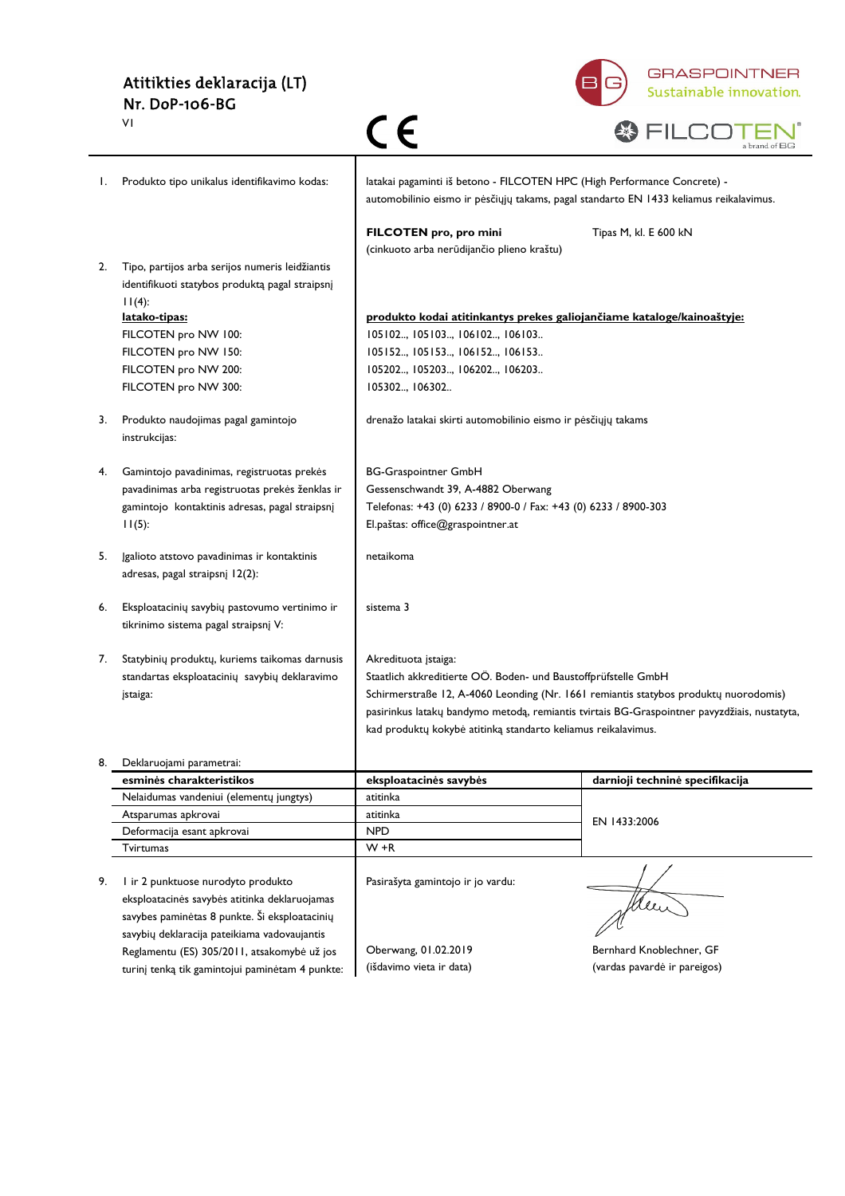#### Atitikties deklaracija (LT) Nr. DoP-106-BG V1



|    | VI                                                                                                              | C E                                                                                                                                                                | a brand of BG                                                                                |
|----|-----------------------------------------------------------------------------------------------------------------|--------------------------------------------------------------------------------------------------------------------------------------------------------------------|----------------------------------------------------------------------------------------------|
| I. | Produkto tipo unikalus identifikavimo kodas:                                                                    | latakai pagaminti iš betono - FILCOTEN HPC (High Performance Concrete) -<br>automobilinio eismo ir pėsčiųjų takams, pagal standarto EN 1433 keliamus reikalavimus. |                                                                                              |
|    |                                                                                                                 | FILCOTEN pro, pro mini<br>(cinkuoto arba nerūdijančio plieno kraštu)                                                                                               | Tipas M, kl. E 600 kN                                                                        |
| 2. | Tipo, partijos arba serijos numeris leidžiantis<br>identifikuoti statybos produktą pagal straipsnį<br>$11(4)$ : |                                                                                                                                                                    |                                                                                              |
|    | <u>latako-tipas:</u>                                                                                            | produkto kodai atitinkantys prekes galiojančiame kataloge/kainoaštyje:                                                                                             |                                                                                              |
|    | FILCOTEN pro NW 100:                                                                                            | 105102, 105103, 106102, 106103                                                                                                                                     |                                                                                              |
|    | FILCOTEN pro NW 150:                                                                                            | 105152, 105153, 106152, 106153                                                                                                                                     |                                                                                              |
|    | FILCOTEN pro NW 200:                                                                                            | 105202, 105203, 106202, 106203                                                                                                                                     |                                                                                              |
|    | FILCOTEN pro NW 300:                                                                                            | 105302 106302                                                                                                                                                      |                                                                                              |
| 3. | Produkto naudojimas pagal gamintojo<br>instrukcijas:                                                            | drenažo latakai skirti automobilinio eismo ir pėsčiųjų takams                                                                                                      |                                                                                              |
| 4. | Gamintojo pavadinimas, registruotas prekės                                                                      | <b>BG-Graspointner GmbH</b>                                                                                                                                        |                                                                                              |
|    | pavadinimas arba registruotas prekės ženklas ir                                                                 | Gessenschwandt 39, A-4882 Oberwang                                                                                                                                 |                                                                                              |
|    | gamintojo kontaktinis adresas, pagal straipsnį                                                                  | Telefonas: +43 (0) 6233 / 8900-0 / Fax: +43 (0) 6233 / 8900-303                                                                                                    |                                                                                              |
|    | 11(5):                                                                                                          | El.paštas: office@graspointner.at                                                                                                                                  |                                                                                              |
|    |                                                                                                                 |                                                                                                                                                                    |                                                                                              |
| 5. | Igalioto atstovo pavadinimas ir kontaktinis<br>adresas, pagal straipsnį 12(2):                                  | netaikoma                                                                                                                                                          |                                                                                              |
| 6. | Eksploatacinių savybių pastovumo vertinimo ir<br>tikrinimo sistema pagal straipsnį V:                           | sistema 3                                                                                                                                                          |                                                                                              |
| 7. | Statybinių produktų, kuriems taikomas darnusis                                                                  | Akredituota įstaiga:                                                                                                                                               |                                                                                              |
|    | standartas eksploatacinių savybių deklaravimo                                                                   | Staatlich akkreditierte OÖ. Boden- und Baustoffprüfstelle GmbH                                                                                                     |                                                                                              |
|    | įstaiga:                                                                                                        | Schirmerstraße 12, A-4060 Leonding (Nr. 1661 remiantis statybos produktų nuorodomis)                                                                               |                                                                                              |
|    |                                                                                                                 |                                                                                                                                                                    | pasirinkus latakų bandymo metodą, remiantis tvirtais BG-Graspointner pavyzdžiais, nustatyta, |
|    |                                                                                                                 | kad produktų kokybė atitinką standarto keliamus reikalavimus.                                                                                                      |                                                                                              |
|    | 8. Deklaruojami parametrai:                                                                                     |                                                                                                                                                                    |                                                                                              |
|    | esminės charakteristikos                                                                                        | eksploatacinės savybės                                                                                                                                             | darnioji techninė specifikacija                                                              |
|    | Nelaidumas vandeniui (elementų jungtys)                                                                         | atitinka                                                                                                                                                           |                                                                                              |
|    | Atsparumas apkrovai                                                                                             | atitinka                                                                                                                                                           | EN 1433:2006                                                                                 |
|    | Deformacija esant apkrovai                                                                                      | <b>NPD</b>                                                                                                                                                         |                                                                                              |
|    | Tvirtumas                                                                                                       | $W + R$                                                                                                                                                            |                                                                                              |
|    |                                                                                                                 |                                                                                                                                                                    |                                                                                              |
| 9. | I ir 2 punktuose nurodyto produkto                                                                              | Pasirašyta gamintojo ir jo vardu:                                                                                                                                  |                                                                                              |
|    | eksploatacinės savybės atitinka deklaruojamas                                                                   |                                                                                                                                                                    | stree                                                                                        |
|    | savybes paminėtas 8 punkte. Ši eksploatacinių                                                                   |                                                                                                                                                                    |                                                                                              |
|    | savybių deklaracija pateikiama vadovaujantis                                                                    |                                                                                                                                                                    |                                                                                              |
|    | Reglamentu (ES) 305/2011, atsakomybė už jos                                                                     | Oberwang, 01.02.2019                                                                                                                                               | Bernhard Knoblechner, GF                                                                     |
|    | turinį tenką tik gamintojui paminėtam 4 punkte:                                                                 | (išdavimo vieta ir data)                                                                                                                                           | (vardas pavardė ir pareigos)                                                                 |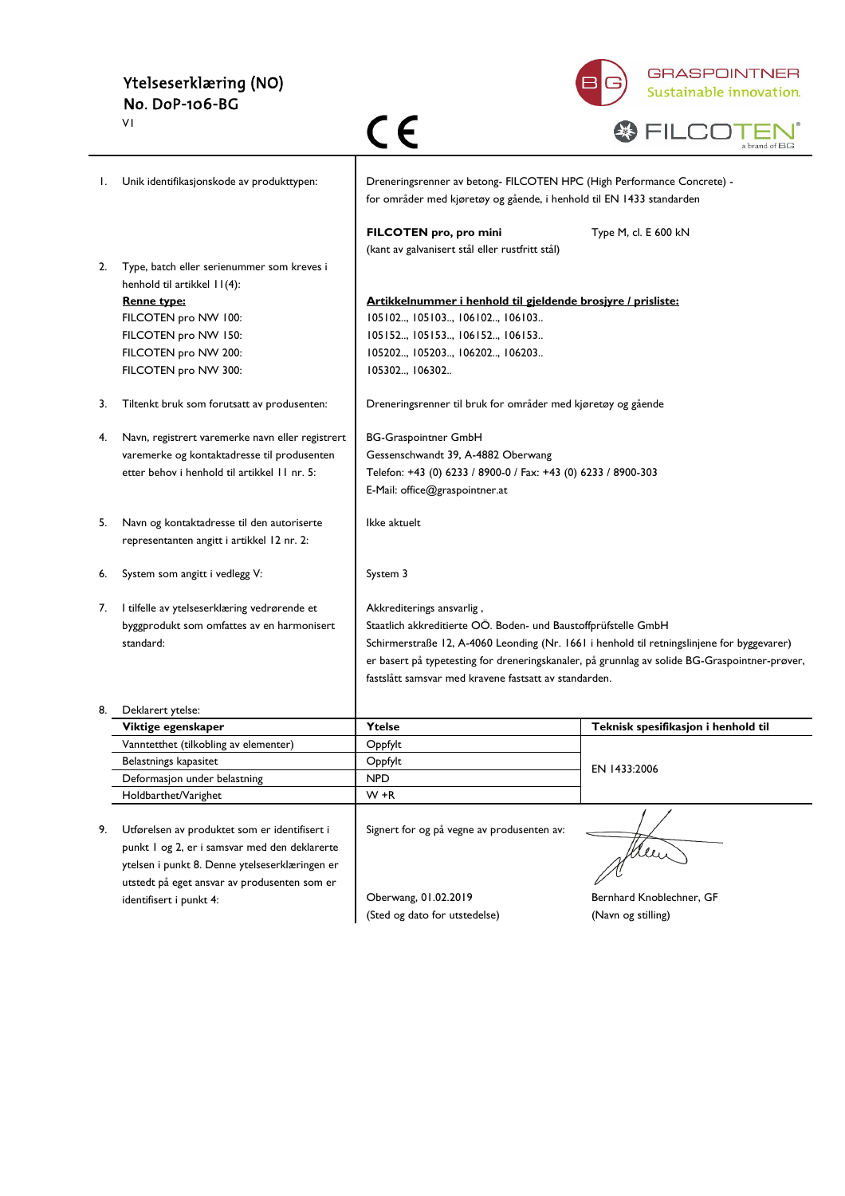# Ytelseserklæring (NO) No. DoP-106-BG



|    | ٧I                                                   | C E                                                                                                                                            | a brand of BG                                                                                 |
|----|------------------------------------------------------|------------------------------------------------------------------------------------------------------------------------------------------------|-----------------------------------------------------------------------------------------------|
| Ι. | Unik identifikasjonskode av produkttypen:            | Dreneringsrenner av betong- FILCOTEN HPC (High Performance Concrete) -<br>for områder med kjøretøy og gående, i henhold til EN 1433 standarden |                                                                                               |
|    |                                                      | FILCOTEN pro, pro mini<br>(kant av galvanisert stål eller rustfritt stål)                                                                      | Type M, cl. E 600 kN                                                                          |
| 2. | Type, batch eller serienummer som kreves i           |                                                                                                                                                |                                                                                               |
|    | henhold til artikkel 11(4):                          |                                                                                                                                                |                                                                                               |
|    | <b>Renne type:</b>                                   | Artikkelnummer i henhold til gjeldende brosjyre / prisliste:                                                                                   |                                                                                               |
|    | FILCOTEN pro NW 100:                                 | 105102, 105103, 106102, 106103                                                                                                                 |                                                                                               |
|    | FILCOTEN pro NW 150:<br>FILCOTEN pro NW 200:         | 105152, 105153, 106152, 106153<br>105202, 105203, 106202, 106203                                                                               |                                                                                               |
|    | FILCOTEN pro NW 300:                                 | 105302, 106302                                                                                                                                 |                                                                                               |
|    |                                                      |                                                                                                                                                |                                                                                               |
| 3. | Tiltenkt bruk som forutsatt av produsenten:          | Dreneringsrenner til bruk for områder med kjøretøy og gående                                                                                   |                                                                                               |
| 4. | Navn, registrert varemerke navn eller registrert     | <b>BG-Graspointner GmbH</b>                                                                                                                    |                                                                                               |
|    | varemerke og kontaktadresse til produsenten          | Gessenschwandt 39, A-4882 Oberwang                                                                                                             |                                                                                               |
|    | etter behov i henhold til artikkel 11 nr. 5:         | Telefon: +43 (0) 6233 / 8900-0 / Fax: +43 (0) 6233 / 8900-303                                                                                  |                                                                                               |
|    |                                                      | E-Mail: office@graspointner.at                                                                                                                 |                                                                                               |
| 5. | Navn og kontaktadresse til den autoriserte           | Ikke aktuelt                                                                                                                                   |                                                                                               |
|    | representanten angitt i artikkel 12 nr. 2:           |                                                                                                                                                |                                                                                               |
|    |                                                      |                                                                                                                                                |                                                                                               |
| 6. | System som angitt i vedlegg V:                       | System 3                                                                                                                                       |                                                                                               |
| 7. | I tilfelle av ytelseserklæring vedrørende et         | Akkrediterings ansvarlig,                                                                                                                      |                                                                                               |
|    | byggprodukt som omfattes av en harmonisert           | Staatlich akkreditierte OÖ. Boden- und Baustoffprüfstelle GmbH                                                                                 |                                                                                               |
|    | standard:                                            | Schirmerstraße 12, A-4060 Leonding (Nr. 1661 i henhold til retningslinjene for byggevarer)                                                     |                                                                                               |
|    |                                                      |                                                                                                                                                | er basert på typetesting for dreneringskanaler, på grunnlag av solide BG-Graspointner-prøver, |
|    |                                                      | fastslått samsvar med kravene fastsatt av standarden.                                                                                          |                                                                                               |
|    | Deklarert ytelse:                                    |                                                                                                                                                |                                                                                               |
|    | Viktige egenskaper                                   | Ytelse                                                                                                                                         | Teknisk spesifikasjon i henhold til                                                           |
|    | Vanntetthet (tilkobling av elementer)                | Oppfylt                                                                                                                                        |                                                                                               |
|    | Belastnings kapasitet                                | Oppfylt                                                                                                                                        | EN 1433:2006                                                                                  |
|    | Deformasjon under belastning<br>Holdbarthet/Varighet | <b>NPD</b><br>$W + R$                                                                                                                          |                                                                                               |
|    |                                                      |                                                                                                                                                |                                                                                               |
| 9. | Utførelsen av produktet som er identifisert i        | Signert for og på vegne av produsenten av:                                                                                                     |                                                                                               |
|    | punkt I og 2, er i samsvar med den deklarerte        |                                                                                                                                                |                                                                                               |
|    | ytelsen i punkt 8. Denne ytelseserklæringen er       |                                                                                                                                                |                                                                                               |
|    | utstedt på eget ansvar av produsenten som er         |                                                                                                                                                |                                                                                               |
|    | identifisert i punkt 4:                              | Oberwang, 01.02.2019                                                                                                                           | Bernhard Knoblechner, GF                                                                      |
|    |                                                      | (Sted og dato for utstedelse)                                                                                                                  | (Navn og stilling)                                                                            |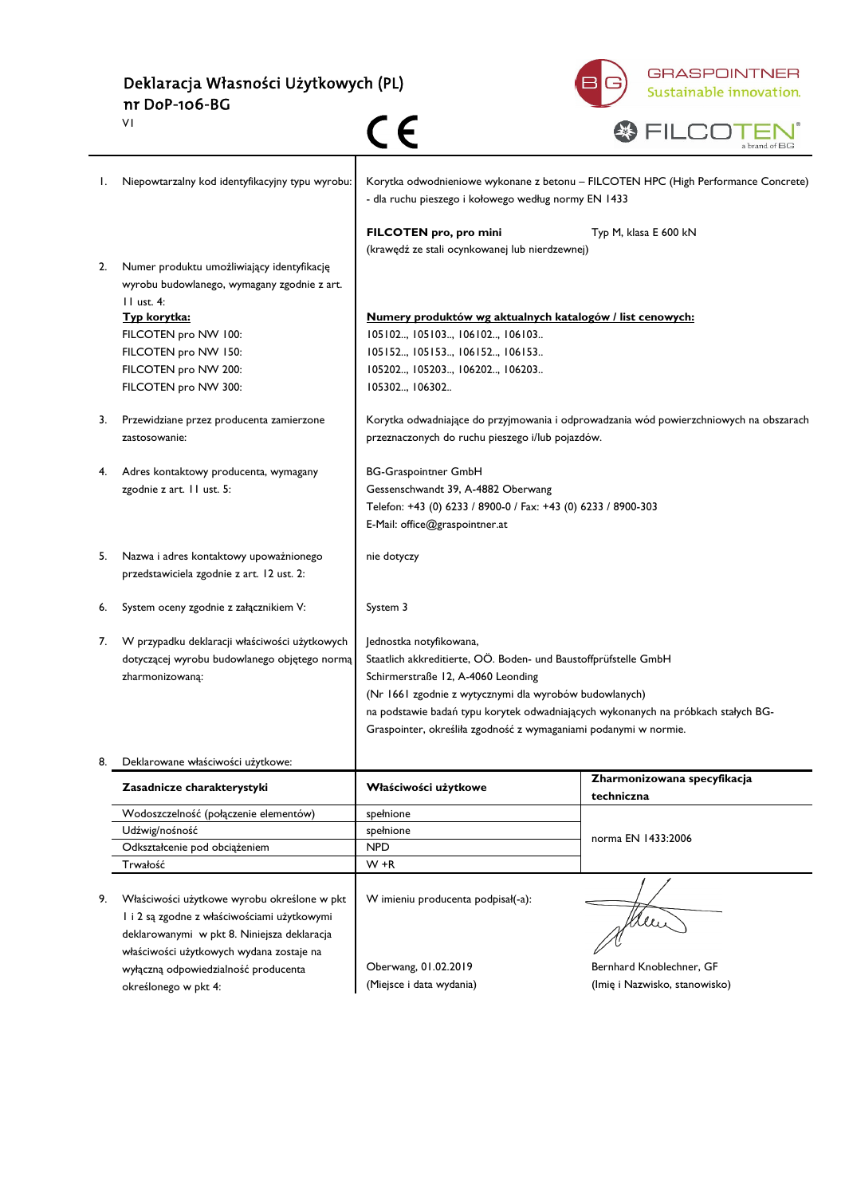Deklaracja Własności Użytkowych (PL) nr DoP-106-BG  $C$ V1



|    |                                                                                                           |                                                                                                                                            | a brand of BG                                                                          |
|----|-----------------------------------------------------------------------------------------------------------|--------------------------------------------------------------------------------------------------------------------------------------------|----------------------------------------------------------------------------------------|
| I. | Niepowtarzalny kod identyfikacyjny typu wyrobu:                                                           | Korytka odwodnieniowe wykonane z betonu - FILCOTEN HPC (High Performance Concrete)<br>- dla ruchu pieszego i kołowego według normy EN 1433 |                                                                                        |
|    |                                                                                                           | FILCOTEN pro, pro mini                                                                                                                     | Typ M, klasa E 600 kN                                                                  |
| 2. | Numer produktu umożliwiający identyfikację<br>wyrobu budowlanego, wymagany zgodnie z art.<br>$II$ ust. 4: | (krawędź ze stali ocynkowanej lub nierdzewnej)                                                                                             |                                                                                        |
|    | Typ korytka:                                                                                              | Numery produktów wg aktualnych katalogów / list cenowych:                                                                                  |                                                                                        |
|    | FILCOTEN pro NW 100:                                                                                      | 105102, 105103, 106102, 106103                                                                                                             |                                                                                        |
|    | FILCOTEN pro NW 150:                                                                                      | 105152, 105153, 106152, 106153                                                                                                             |                                                                                        |
|    | FILCOTEN pro NW 200:                                                                                      | 105202, 105203, 106202, 106203                                                                                                             |                                                                                        |
|    | FILCOTEN pro NW 300:                                                                                      | 105302, 106302                                                                                                                             |                                                                                        |
| 3. | Przewidziane przez producenta zamierzone                                                                  |                                                                                                                                            | Korytka odwadniające do przyjmowania i odprowadzania wód powierzchniowych na obszarach |
|    | zastosowanie:                                                                                             | przeznaczonych do ruchu pieszego i/lub pojazdów.                                                                                           |                                                                                        |
| 4. | Adres kontaktowy producenta, wymagany                                                                     | <b>BG-Graspointner GmbH</b>                                                                                                                |                                                                                        |
|    | zgodnie z art. 11 ust. 5:                                                                                 | Gessenschwandt 39, A-4882 Oberwang                                                                                                         |                                                                                        |
|    |                                                                                                           | Telefon: +43 (0) 6233 / 8900-0 / Fax: +43 (0) 6233 / 8900-303                                                                              |                                                                                        |
|    |                                                                                                           | E-Mail: office@graspointner.at                                                                                                             |                                                                                        |
| 5. | Nazwa i adres kontaktowy upoważnionego                                                                    | nie dotyczy                                                                                                                                |                                                                                        |
|    | przedstawiciela zgodnie z art. 12 ust. 2:                                                                 |                                                                                                                                            |                                                                                        |
| 6. | System oceny zgodnie z załącznikiem V:                                                                    | System 3                                                                                                                                   |                                                                                        |
| 7. | W przypadku deklaracji właściwości użytkowych                                                             | Jednostka notyfikowana,                                                                                                                    |                                                                                        |
|    | dotyczącej wyrobu budowlanego objętego normą                                                              | Staatlich akkreditierte, OÖ. Boden- und Baustoffprüfstelle GmbH                                                                            |                                                                                        |
|    | zharmonizowaną:                                                                                           | Schirmerstraße 12, A-4060 Leonding                                                                                                         |                                                                                        |
|    |                                                                                                           | (Nr 1661 zgodnie z wytycznymi dla wyrobów budowlanych)                                                                                     |                                                                                        |
|    |                                                                                                           |                                                                                                                                            | na podstawie badań typu korytek odwadniających wykonanych na próbkach stałych BG-      |
|    |                                                                                                           | Graspointer, określiła zgodność z wymaganiami podanymi w normie.                                                                           |                                                                                        |
| 8. | Deklarowane właściwości użytkowe:                                                                         |                                                                                                                                            |                                                                                        |
|    | Zasadnicze charakterystyki                                                                                | Właściwości użytkowe                                                                                                                       | Zharmonizowana specyfikacja<br>techniczna                                              |
|    | Wodoszczelność (połączenie elementów)                                                                     | spełnione                                                                                                                                  |                                                                                        |
|    | Udźwig/nośność                                                                                            | spełnione                                                                                                                                  | norma EN 1433:2006                                                                     |
|    | Odkształcenie pod obciążeniem                                                                             | <b>NPD</b>                                                                                                                                 |                                                                                        |
|    | Trwałość                                                                                                  | W +R                                                                                                                                       |                                                                                        |
| 9. | Właściwości użytkowe wyrobu określone w pkt                                                               | W imieniu producenta podpisał(-a):                                                                                                         |                                                                                        |
|    | I i 2 są zgodne z właściwościami użytkowymi                                                               |                                                                                                                                            |                                                                                        |
|    | deklarowanymi w pkt 8. Niniejsza deklaracja                                                               |                                                                                                                                            | Men                                                                                    |
|    | właściwości użytkowych wydana zostaje na                                                                  |                                                                                                                                            |                                                                                        |
|    | wyłączną odpowiedzialność producenta                                                                      | Oberwang, 01.02.2019                                                                                                                       | Bernhard Knoblechner, GF                                                               |
|    | określonego w pkt 4:                                                                                      | (Miejsce i data wydania)                                                                                                                   | (Imię i Nazwisko, stanowisko)                                                          |
|    |                                                                                                           |                                                                                                                                            |                                                                                        |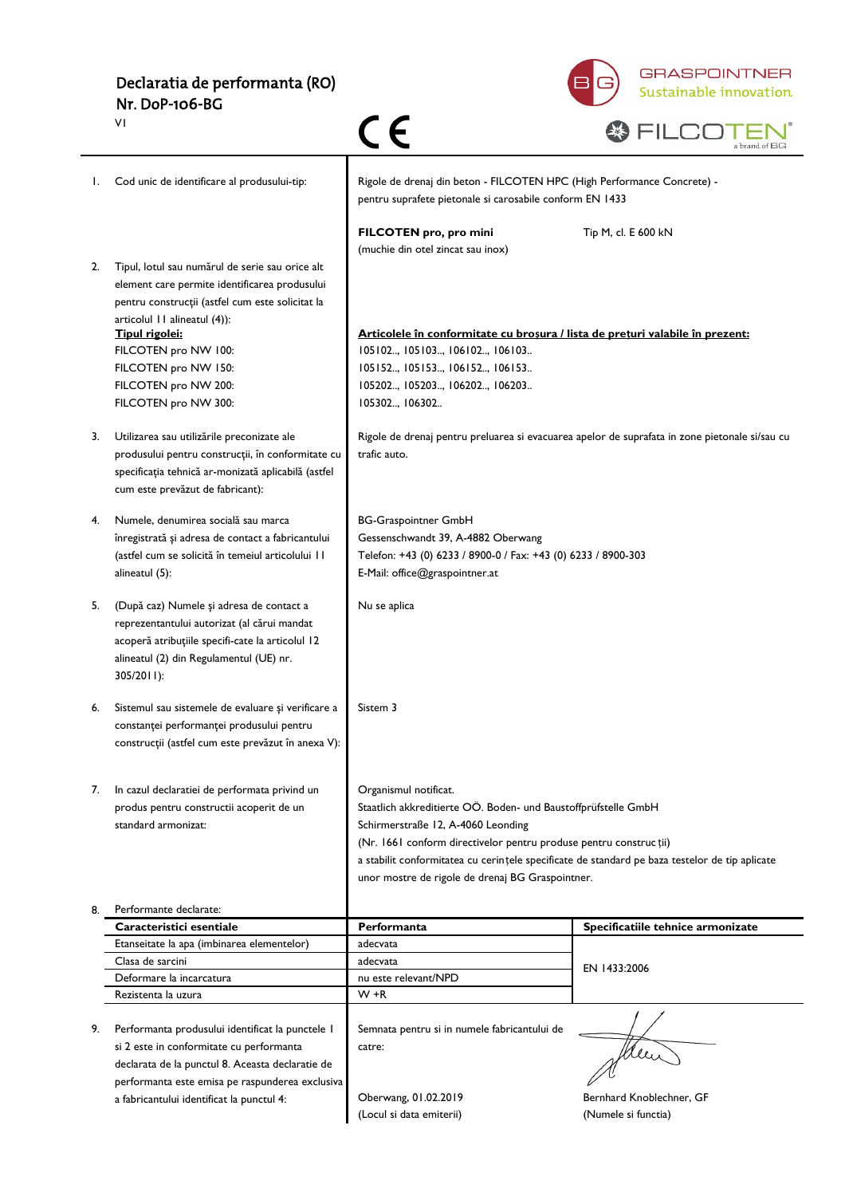| Declaratia de performanta (RO) |  |
|--------------------------------|--|
| Nr. DoP-106-BG                 |  |





|    | VI                                                                                                                                                                                                   |                                                                                                                                                                                                                                                                                                      | a brand of BG                     |
|----|------------------------------------------------------------------------------------------------------------------------------------------------------------------------------------------------------|------------------------------------------------------------------------------------------------------------------------------------------------------------------------------------------------------------------------------------------------------------------------------------------------------|-----------------------------------|
| Ι. | Cod unic de identificare al produsului-tip:                                                                                                                                                          | Rigole de drenaj din beton - FILCOTEN HPC (High Performance Concrete) -<br>pentru suprafete pietonale si carosabile conform EN 1433                                                                                                                                                                  |                                   |
|    |                                                                                                                                                                                                      | FILCOTEN pro, pro mini<br>(muchie din otel zincat sau inox)                                                                                                                                                                                                                                          | Tip M, cl. E 600 kN               |
| 2. | Tipul, lotul sau numărul de serie sau orice alt<br>element care permite identificarea produsului<br>pentru construcții (astfel cum este solicitat la<br>articolul 11 alineatul (4)):                 |                                                                                                                                                                                                                                                                                                      |                                   |
|    | Tipul rigolei:                                                                                                                                                                                       | Articolele în conformitate cu broșura / lista de prețuri valabile în prezent:                                                                                                                                                                                                                        |                                   |
|    | FILCOTEN pro NW 100:<br>FILCOTEN pro NW 150:                                                                                                                                                         | 105102, 105103, 106102, 106103<br>105152, 105153, 106152, 106153                                                                                                                                                                                                                                     |                                   |
|    | FILCOTEN pro NW 200:                                                                                                                                                                                 | 105202, 105203, 106202, 106203                                                                                                                                                                                                                                                                       |                                   |
|    | FILCOTEN pro NW 300:                                                                                                                                                                                 | 105302, 106302                                                                                                                                                                                                                                                                                       |                                   |
| 3. | Utilizarea sau utilizările preconizate ale<br>produsului pentru construcții, în conformitate cu<br>specificația tehnică ar-monizată aplicabilă (astfel<br>cum este prevăzut de fabricant):           | Rigole de drenaj pentru preluarea si evacuarea apelor de suprafata in zone pietonale si/sau cu<br>trafic auto.                                                                                                                                                                                       |                                   |
|    |                                                                                                                                                                                                      |                                                                                                                                                                                                                                                                                                      |                                   |
| 4. | Numele, denumirea socială sau marca<br>înregistrată și adresa de contact a fabricantului                                                                                                             | <b>BG-Graspointner GmbH</b><br>Gessenschwandt 39, A-4882 Oberwang                                                                                                                                                                                                                                    |                                   |
|    | (astfel cum se solicită în temeiul articolului 11                                                                                                                                                    | Telefon: +43 (0) 6233 / 8900-0 / Fax: +43 (0) 6233 / 8900-303                                                                                                                                                                                                                                        |                                   |
|    | alineatul (5):                                                                                                                                                                                       | E-Mail: office@graspointner.at                                                                                                                                                                                                                                                                       |                                   |
| 5. | (După caz) Numele și adresa de contact a<br>reprezentantului autorizat (al cărui mandat<br>acoperă atribuțiile specifi-cate la articolul 12<br>alineatul (2) din Regulamentul (UE) nr.<br>305/2011): | Nu se aplica                                                                                                                                                                                                                                                                                         |                                   |
| 6. | Sistemul sau sistemele de evaluare și verificare a<br>constanței performanței produsului pentru<br>construcții (astfel cum este prevăzut în anexa V):                                                | Sistem 3                                                                                                                                                                                                                                                                                             |                                   |
| 7. | In cazul declaratiei de performata privind un<br>produs pentru constructii acoperit de un<br>standard armonizat:                                                                                     | Organismul notificat.<br>Staatlich akkreditierte OÖ. Boden- und Baustoffprüfstelle GmbH<br>Schirmerstraße 12, A-4060 Leonding<br>(Nr. 1661 conform directivelor pentru produse pentru construcții)<br>a stabilit conformitatea cu cerințele specificate de standard pe baza testelor de tip aplicate |                                   |
|    |                                                                                                                                                                                                      | unor mostre de rigole de drenaj BG Graspointner.                                                                                                                                                                                                                                                     |                                   |
| 8. | Performante declarate:<br>Caracteristici esentiale                                                                                                                                                   | Performanta                                                                                                                                                                                                                                                                                          | Specificatiile tehnice armonizate |
|    | Etanseitate la apa (imbinarea elementelor)                                                                                                                                                           | adecvata                                                                                                                                                                                                                                                                                             |                                   |
|    | Clasa de sarcini                                                                                                                                                                                     | adecvata                                                                                                                                                                                                                                                                                             |                                   |
|    | Deformare la incarcatura                                                                                                                                                                             | nu este relevant/NPD                                                                                                                                                                                                                                                                                 | EN 1433:2006                      |
|    | Rezistenta la uzura                                                                                                                                                                                  | W +R                                                                                                                                                                                                                                                                                                 |                                   |
| 9. | Performanta produsului identificat la punctele I<br>si 2 este in conformitate cu performanta<br>declarata de la punctul 8. Aceasta declaratie de<br>performanta este emisa pe raspunderea exclusiva  | Semnata pentru si in numele fabricantului de<br>catre:                                                                                                                                                                                                                                               | Men                               |
|    | a fabricantului identificat la punctul 4:                                                                                                                                                            | Oberwang, 01.02.2019                                                                                                                                                                                                                                                                                 | Bernhard Knoblechner, GF          |
|    |                                                                                                                                                                                                      | (Locul si data emiterii)                                                                                                                                                                                                                                                                             | (Numele si functia)               |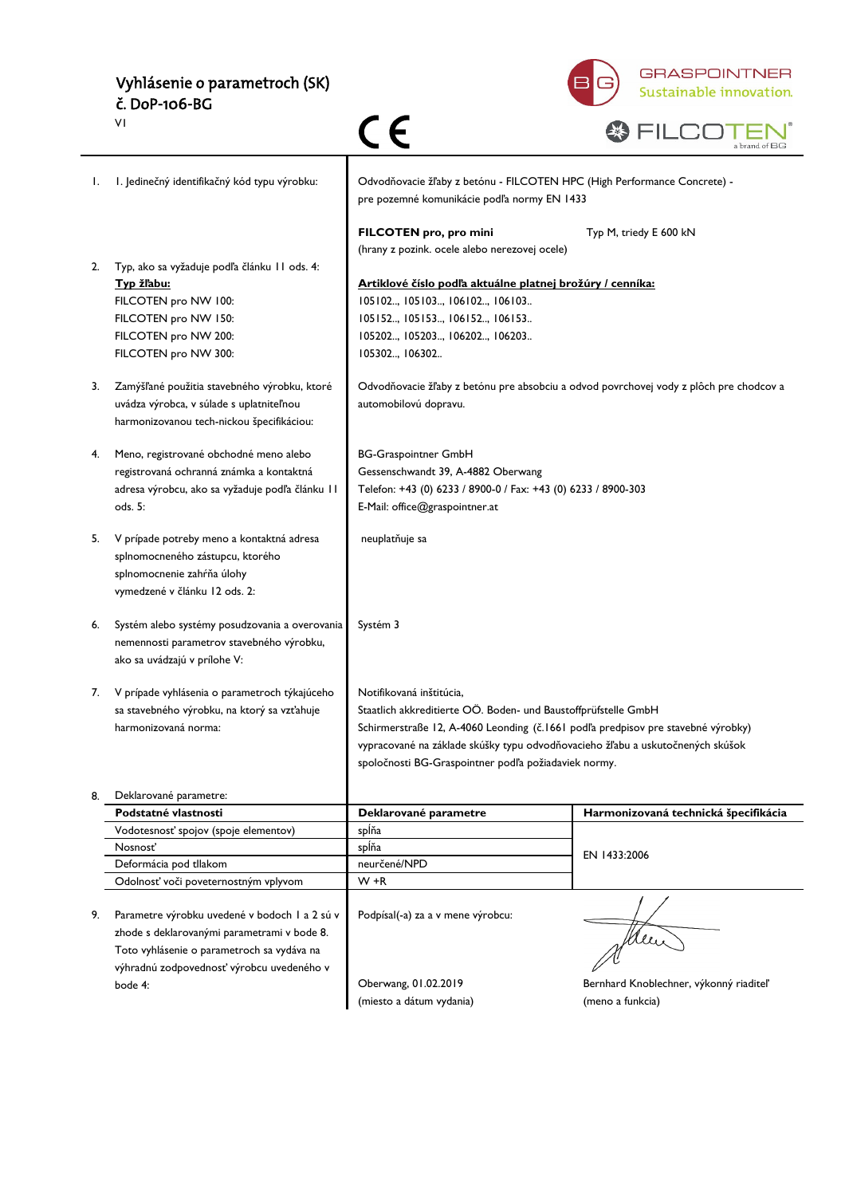# Vyhlásenie o parametroch (SK) č. DoP-106-BG



|    | VI                                                                                                                                                                                      |                                                                                                                                                                                                                                                                                                                          |                                                            |
|----|-----------------------------------------------------------------------------------------------------------------------------------------------------------------------------------------|--------------------------------------------------------------------------------------------------------------------------------------------------------------------------------------------------------------------------------------------------------------------------------------------------------------------------|------------------------------------------------------------|
| Ι. | I. Jedinečný identifikačný kód typu výrobku:                                                                                                                                            | Odvodňovacie žľaby z betónu - FILCOTEN HPC (High Performance Concrete) -<br>pre pozemné komunikácie podľa normy EN 1433                                                                                                                                                                                                  |                                                            |
|    |                                                                                                                                                                                         | FILCOTEN pro, pro mini<br>(hrany z pozink. ocele alebo nerezovej ocele)                                                                                                                                                                                                                                                  | Typ M, triedy E 600 kN                                     |
| 2. | Typ, ako sa vyžaduje podľa článku 11 ods. 4:<br>Typ žľabu:<br>FILCOTEN pro NW 100:<br>FILCOTEN pro NW 150:<br>FILCOTEN pro NW 200:<br>FILCOTEN pro NW 300:                              | Artiklové číslo podľa aktuálne platnej brožúry / cenníka:<br>105102, 105103, 106102, 106103<br>105152, 105153, 106152, 106153<br>105202, 105203, 106202, 106203<br>105302, 106302                                                                                                                                        |                                                            |
| 3. | Zamýšľané použitia stavebného výrobku, ktoré<br>uvádza výrobca, v súlade s uplatniteľnou<br>harmonizovanou tech-nickou špecifikáciou:                                                   | Odvodňovacie žľaby z betónu pre absobciu a odvod povrchovej vody z plôch pre chodcov a<br>automobilovú dopravu.                                                                                                                                                                                                          |                                                            |
| 4. | Meno, registrované obchodné meno alebo<br>registrovaná ochranná známka a kontaktná<br>adresa výrobcu, ako sa vyžaduje podľa článku II<br>ods. 5:                                        | <b>BG-Graspointner GmbH</b><br>Gessenschwandt 39, A-4882 Oberwang<br>Telefon: +43 (0) 6233 / 8900-0 / Fax: +43 (0) 6233 / 8900-303<br>E-Mail: office@graspointner.at                                                                                                                                                     |                                                            |
| 5. | V prípade potreby meno a kontaktná adresa<br>splnomocneného zástupcu, ktorého<br>splnomocnenie zahŕňa úlohy<br>vymedzené v článku 12 ods. 2:                                            | neuplatňuje sa                                                                                                                                                                                                                                                                                                           |                                                            |
| 6. | Systém alebo systémy posudzovania a overovania<br>nemennosti parametrov stavebného výrobku,<br>ako sa uvádzajú v prílohe V:                                                             | Systém 3                                                                                                                                                                                                                                                                                                                 |                                                            |
| 7. | V prípade vyhlásenia o parametroch týkajúceho<br>sa stavebného výrobku, na ktorý sa vzťahuje<br>harmonizovaná norma:                                                                    | Notifikovaná inštitúcia,<br>Staatlich akkreditierte OÖ. Boden- und Baustoffprüfstelle GmbH<br>Schirmerstraße 12, A-4060 Leonding (č.1661 podľa predpisov pre stavebné výrobky)<br>vypracované na základe skúšky typu odvodňovacieho žľabu a uskutočnených skúšok<br>spoločnosti BG-Graspointner podľa požiadaviek normy. |                                                            |
| 8. | Deklarované parametre:                                                                                                                                                                  |                                                                                                                                                                                                                                                                                                                          |                                                            |
|    | Podstatné vlastnosti                                                                                                                                                                    | Deklarované parametre                                                                                                                                                                                                                                                                                                    | Harmonizovaná technická špecifikácia                       |
|    | Vodotesnosť spojov (spoje elementov)<br>Nosnosť                                                                                                                                         | splňa<br>spĺňa                                                                                                                                                                                                                                                                                                           |                                                            |
|    | Deformácia pod tllakom                                                                                                                                                                  | neurčené/NPD                                                                                                                                                                                                                                                                                                             | EN 1433:2006                                               |
|    | Odolnosť voči poveternostným vplyvom                                                                                                                                                    | $W + R$                                                                                                                                                                                                                                                                                                                  |                                                            |
| 9. | Parametre výrobku uvedené v bodoch 1 a 2 sú v<br>zhode s deklarovanými parametrami v bode 8.<br>Toto vyhlásenie o parametroch sa vydáva na<br>výhradnú zodpovednosť výrobcu uvedeného v | Podpísal(-a) za a v mene výrobcu:                                                                                                                                                                                                                                                                                        | Men                                                        |
|    | bode 4:                                                                                                                                                                                 | Oberwang, 01.02.2019<br>(miesto a dátum vydania)                                                                                                                                                                                                                                                                         | Bernhard Knoblechner, výkonný riaditeľ<br>(meno a funkcia) |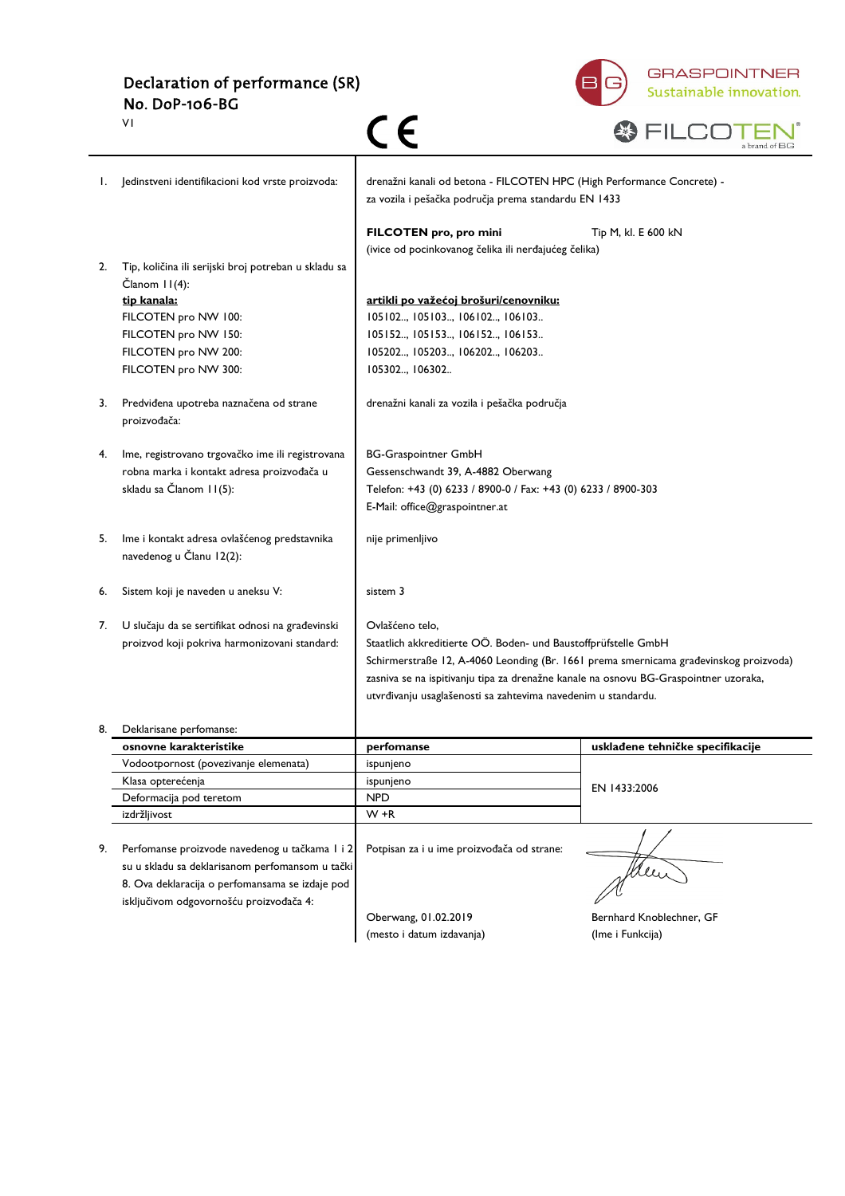Declaration of performance (SR) No. DoP-106-BG



|    | ٧I                                                                                                 |                                                                                                                                |                                  |
|----|----------------------------------------------------------------------------------------------------|--------------------------------------------------------------------------------------------------------------------------------|----------------------------------|
| Ι. | Jedinstveni identifikacioni kod vrste proizvoda:                                                   | drenažni kanali od betona - FILCOTEN HPC (High Performance Concrete) -<br>za vozila i pešačka područja prema standardu EN 1433 |                                  |
|    |                                                                                                    | FILCOTEN pro, pro mini<br>(ivice od pocinkovanog čelika ili nerđajućeg čelika)                                                 | Tip M, kl. E 600 kN              |
| 2. | Tip, količina ili serijski broj potreban u skladu sa<br>Članom II(4):                              |                                                                                                                                |                                  |
|    | tip kanala:                                                                                        | artikli po važećoj brošuri/cenovniku:                                                                                          |                                  |
|    | FILCOTEN pro NW 100:                                                                               | 105102, 105103, 106102, 106103                                                                                                 |                                  |
|    | FILCOTEN pro NW 150:                                                                               | 105152, 105153, 106152, 106153                                                                                                 |                                  |
|    | FILCOTEN pro NW 200:                                                                               | 105202, 105203, 106202, 106203                                                                                                 |                                  |
|    | FILCOTEN pro NW 300:                                                                               | 105302, 106302                                                                                                                 |                                  |
| 3. | Predviđena upotreba naznačena od strane<br>proizvođača:                                            | drenažni kanali za vozila i pešačka područja                                                                                   |                                  |
| 4. | lme, registrovano trgovačko ime ili registrovana                                                   | <b>BG-Graspointner GmbH</b>                                                                                                    |                                  |
|    | robna marka i kontakt adresa proizvođača u                                                         | Gessenschwandt 39, A-4882 Oberwang                                                                                             |                                  |
|    | skladu sa Članom II(5):                                                                            | Telefon: +43 (0) 6233 / 8900-0 / Fax: +43 (0) 6233 / 8900-303                                                                  |                                  |
|    |                                                                                                    | E-Mail: office@graspointner.at                                                                                                 |                                  |
|    |                                                                                                    |                                                                                                                                |                                  |
| 5. | Ime i kontakt adresa ovlašćenog predstavnika<br>navedenog u Članu 12(2):                           | nije primenljivo                                                                                                               |                                  |
| 6. | Sistem koji je naveden u aneksu V:                                                                 | sistem 3                                                                                                                       |                                  |
| 7. | U slučaju da se sertifikat odnosi na građevinski                                                   | Ovlašćeno telo,                                                                                                                |                                  |
|    | proizvod koji pokriva harmonizovani standard:                                                      | Staatlich akkreditierte OÖ. Boden- und Baustoffprüfstelle GmbH                                                                 |                                  |
|    |                                                                                                    | Schirmerstraße 12, A-4060 Leonding (Br. 1661 prema smernicama građevinskog proizvoda)                                          |                                  |
|    |                                                                                                    | zasniva se na ispitivanju tipa za drenažne kanale na osnovu BG-Graspointner uzoraka,                                           |                                  |
|    |                                                                                                    | utvrđivanju usaglašenosti sa zahtevima navedenim u standardu.                                                                  |                                  |
|    | Deklarisane perfomanse:                                                                            |                                                                                                                                |                                  |
|    | osnovne karakteristike                                                                             | perfomanse                                                                                                                     | usklađene tehničke specifikacije |
|    | Vodootpornost (povezivanje elemenata)                                                              | ispunjeno                                                                                                                      |                                  |
|    | Klasa opterećenja                                                                                  | ispunjeno                                                                                                                      | EN 1433:2006                     |
|    | Deformacija pod teretom                                                                            | <b>NPD</b>                                                                                                                     |                                  |
|    | izdržljivost                                                                                       | $W + R$                                                                                                                        |                                  |
|    |                                                                                                    |                                                                                                                                |                                  |
| 9. | Perfomanse proizvode navedenog u tačkama I i 2                                                     | Potpisan za i u ime proizvođača od strane:                                                                                     |                                  |
|    | su u skladu sa deklarisanom perfomansom u tački<br>8. Ova deklaracija o perfomansama se izdaje pod |                                                                                                                                | Meller                           |
|    | isključivom odgovornošću proizvođača 4:                                                            |                                                                                                                                |                                  |
|    |                                                                                                    | Oberwang, 01.02.2019                                                                                                           | Bernhard Knoblechner, GF         |
|    |                                                                                                    | (mesto i datum izdavanja)                                                                                                      | (Ime i Funkcija)                 |
|    |                                                                                                    |                                                                                                                                |                                  |